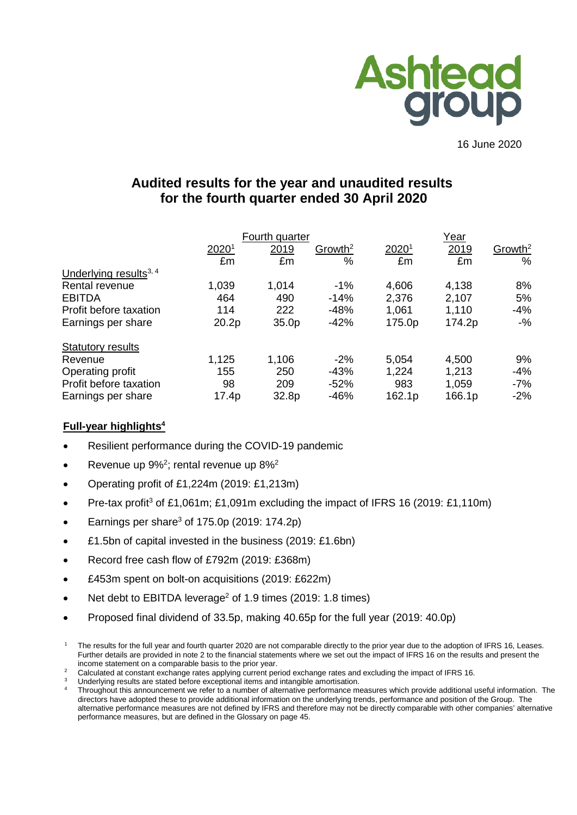

16 June 2020

# **Audited results for the year and unaudited results for the fourth quarter ended 30 April 2020**

|                                    | Fourth quarter |                   |                     |        | Year   |                     |  |  |
|------------------------------------|----------------|-------------------|---------------------|--------|--------|---------------------|--|--|
|                                    | 20201          | 2019              | Growth <sup>2</sup> | 20201  | 2019   | Growth <sup>2</sup> |  |  |
|                                    | £m             | £m                | $\%$                | £m     | £m     | %                   |  |  |
| Underlying results <sup>3, 4</sup> |                |                   |                     |        |        |                     |  |  |
| Rental revenue                     | 1,039          | 1,014             | $-1\%$              | 4,606  | 4,138  | 8%                  |  |  |
| <b>EBITDA</b>                      | 464            | 490               | $-14%$              | 2,376  | 2,107  | 5%                  |  |  |
| Profit before taxation             | 114            | 222               | $-48%$              | 1,061  | 1,110  | $-4%$               |  |  |
| Earnings per share                 | 20.2p          | 35.0 <sub>p</sub> | $-42%$              | 175.0p | 174.2p | $-$ %               |  |  |
| <b>Statutory results</b>           |                |                   |                     |        |        |                     |  |  |
| Revenue                            | 1,125          | 1,106             | $-2%$               | 5,054  | 4,500  | 9%                  |  |  |
| Operating profit                   | 155            | 250               | $-43%$              | 1,224  | 1,213  | $-4%$               |  |  |
| Profit before taxation             | 98             | 209               | $-52%$              | 983    | 1,059  | $-7%$               |  |  |
| Earnings per share                 | 17.4p          | 32.8p             | $-46%$              | 162.1p | 166.1p | $-2%$               |  |  |

# **Full-year highlights4**

- Resilient performance during the COVID-19 pandemic
- Revenue up  $9\%^2$ ; rental revenue up  $8\%^2$
- Operating profit of £1,224m (2019: £1,213m)
- Pre-tax profit<sup>3</sup> of £1,061m; £1,091m excluding the impact of IFRS 16 (2019: £1,110m)
- Earnings per share<sup>3</sup> of 175.0p (2019: 174.2p)
- £1.5bn of capital invested in the business (2019: £1.6bn)
- Record free cash flow of £792m (2019: £368m)
- £453m spent on bolt-on acquisitions (2019: £622m)
- Net debt to EBITDA leverage<sup>2</sup> of 1.9 times (2019: 1.8 times)
- Proposed final dividend of 33.5p, making 40.65p for the full year (2019: 40.0p)

The results for the full year and fourth quarter 2020 are not comparable directly to the prior year due to the adoption of IFRS 16, Leases. Further details are provided in note 2 to the financial statements where we set out the impact of IFRS 16 on the results and present the income statement on a comparable basis to the prior year.

<sup>2</sup> Calculated at constant exchange rates applying current period exchange rates and excluding the impact of IFRS 16.

Underlying results are stated before exceptional items and intangible amortisation.

Throughout this announcement we refer to a number of alternative performance measures which provide additional useful information. The directors have adopted these to provide additional information on the underlying trends, performance and position of the Group. The alternative performance measures are not defined by IFRS and therefore may not be directly comparable with other companies' alternative performance measures, but are defined in the Glossary on page 45.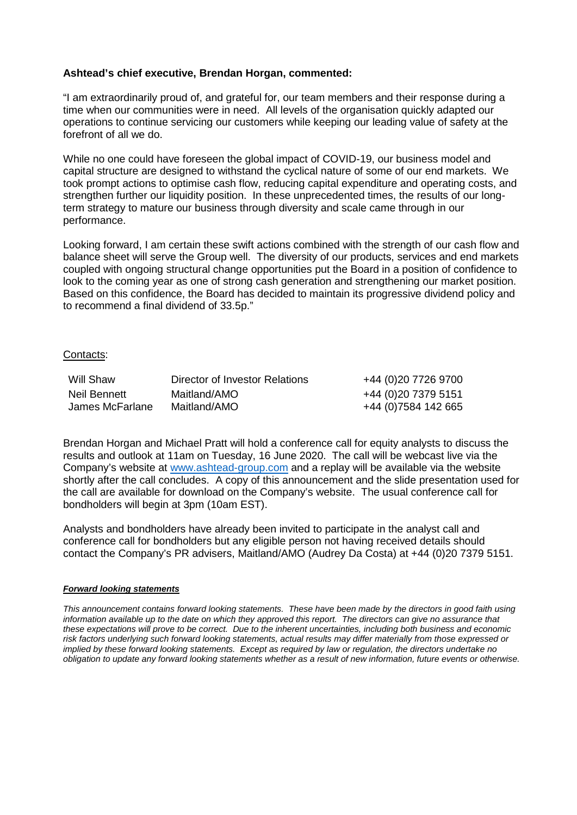### **Ashtead's chief executive, Brendan Horgan, commented:**

"I am extraordinarily proud of, and grateful for, our team members and their response during a time when our communities were in need. All levels of the organisation quickly adapted our operations to continue servicing our customers while keeping our leading value of safety at the forefront of all we do.

While no one could have foreseen the global impact of COVID-19, our business model and capital structure are designed to withstand the cyclical nature of some of our end markets. We took prompt actions to optimise cash flow, reducing capital expenditure and operating costs, and strengthen further our liquidity position. In these unprecedented times, the results of our longterm strategy to mature our business through diversity and scale came through in our performance.

Looking forward, I am certain these swift actions combined with the strength of our cash flow and balance sheet will serve the Group well. The diversity of our products, services and end markets coupled with ongoing structural change opportunities put the Board in a position of confidence to look to the coming year as one of strong cash generation and strengthening our market position. Based on this confidence, the Board has decided to maintain its progressive dividend policy and to recommend a final dividend of 33.5p."

#### Contacts:

| Will Shaw       | Director of Investor Relations | +44 (0)20 7726 9700  |
|-----------------|--------------------------------|----------------------|
| Neil Bennett    | Maitland/AMO                   | +44 (0) 20 7379 5151 |
| James McFarlane | Maitland/AMO                   | +44 (0)7584 142 665  |

Brendan Horgan and Michael Pratt will hold a conference call for equity analysts to discuss the results and outlook at 11am on Tuesday, 16 June 2020. The call will be webcast live via the Company's website at [www.ashtead-group.com](http://www.ashtead-group.com/) and a replay will be available via the website shortly after the call concludes. A copy of this announcement and the slide presentation used for the call are available for download on the Company's website. The usual conference call for bondholders will begin at 3pm (10am EST).

Analysts and bondholders have already been invited to participate in the analyst call and conference call for bondholders but any eligible person not having received details should contact the Company's PR advisers, Maitland/AMO (Audrey Da Costa) at +44 (0)20 7379 5151.

#### *Forward looking statements*

*This announcement contains forward looking statements. These have been made by the directors in good faith using information available up to the date on which they approved this report. The directors can give no assurance that these expectations will prove to be correct. Due to the inherent uncertainties, including both business and economic risk factors underlying such forward looking statements, actual results may differ materially from those expressed or implied by these forward looking statements. Except as required by law or regulation, the directors undertake no obligation to update any forward looking statements whether as a result of new information, future events or otherwise.*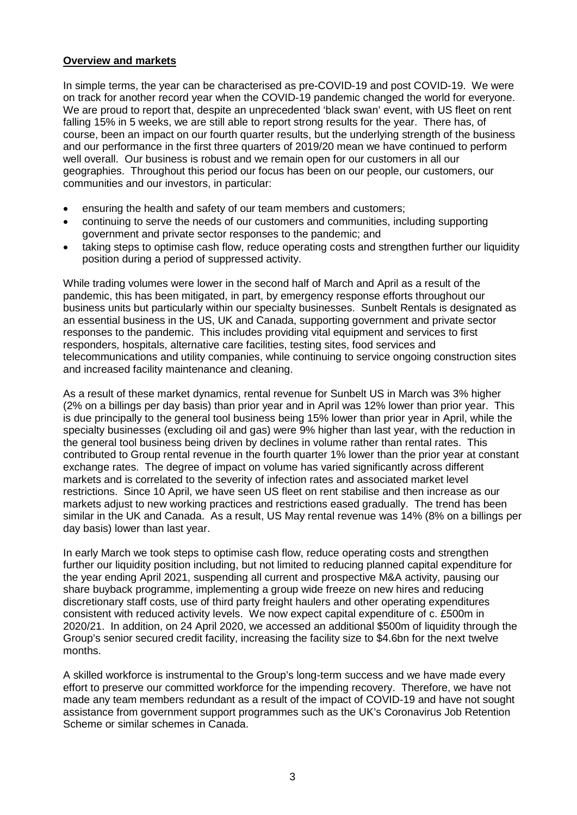## **Overview and markets**

In simple terms, the year can be characterised as pre-COVID-19 and post COVID-19. We were on track for another record year when the COVID-19 pandemic changed the world for everyone. We are proud to report that, despite an unprecedented 'black swan' event, with US fleet on rent falling 15% in 5 weeks, we are still able to report strong results for the year. There has, of course, been an impact on our fourth quarter results, but the underlying strength of the business and our performance in the first three quarters of 2019/20 mean we have continued to perform well overall. Our business is robust and we remain open for our customers in all our geographies. Throughout this period our focus has been on our people, our customers, our communities and our investors, in particular:

- ensuring the health and safety of our team members and customers;
- continuing to serve the needs of our customers and communities, including supporting government and private sector responses to the pandemic; and
- taking steps to optimise cash flow, reduce operating costs and strengthen further our liquidity position during a period of suppressed activity.

While trading volumes were lower in the second half of March and April as a result of the pandemic, this has been mitigated, in part, by emergency response efforts throughout our business units but particularly within our specialty businesses. Sunbelt Rentals is designated as an essential business in the US, UK and Canada, supporting government and private sector responses to the pandemic. This includes providing vital equipment and services to first responders, hospitals, alternative care facilities, testing sites, food services and telecommunications and utility companies, while continuing to service ongoing construction sites and increased facility maintenance and cleaning.

As a result of these market dynamics, rental revenue for Sunbelt US in March was 3% higher (2% on a billings per day basis) than prior year and in April was 12% lower than prior year. This is due principally to the general tool business being 15% lower than prior year in April, while the specialty businesses (excluding oil and gas) were 9% higher than last year, with the reduction in the general tool business being driven by declines in volume rather than rental rates. This contributed to Group rental revenue in the fourth quarter 1% lower than the prior year at constant exchange rates. The degree of impact on volume has varied significantly across different markets and is correlated to the severity of infection rates and associated market level restrictions. Since 10 April, we have seen US fleet on rent stabilise and then increase as our markets adjust to new working practices and restrictions eased gradually. The trend has been similar in the UK and Canada. As a result, US May rental revenue was 14% (8% on a billings per day basis) lower than last year.

In early March we took steps to optimise cash flow, reduce operating costs and strengthen further our liquidity position including, but not limited to reducing planned capital expenditure for the year ending April 2021, suspending all current and prospective M&A activity, pausing our share buyback programme, implementing a group wide freeze on new hires and reducing discretionary staff costs, use of third party freight haulers and other operating expenditures consistent with reduced activity levels. We now expect capital expenditure of c. £500m in 2020/21. In addition, on 24 April 2020, we accessed an additional \$500m of liquidity through the Group's senior secured credit facility, increasing the facility size to \$4.6bn for the next twelve months.

A skilled workforce is instrumental to the Group's long-term success and we have made every effort to preserve our committed workforce for the impending recovery. Therefore, we have not made any team members redundant as a result of the impact of COVID-19 and have not sought assistance from government support programmes such as the UK's Coronavirus Job Retention Scheme or similar schemes in Canada.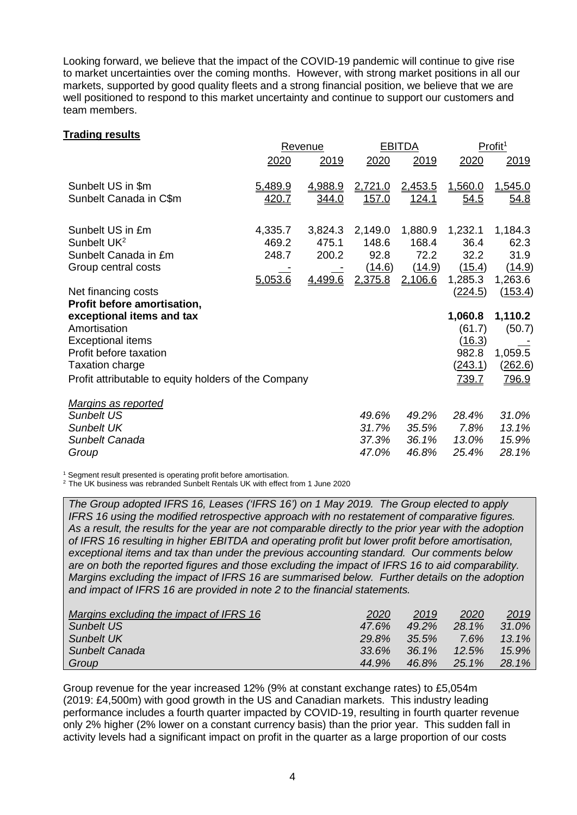Looking forward, we believe that the impact of the COVID-19 pandemic will continue to give rise to market uncertainties over the coming months. However, with strong market positions in all our markets, supported by good quality fleets and a strong financial position, we believe that we are well positioned to respond to this market uncertainty and continue to support our customers and team members.

#### **Trading results**

|                                                      |              | Revenue      |              | <b>EBITDA</b> |                | Profit <sup>1</sup> |  |
|------------------------------------------------------|--------------|--------------|--------------|---------------|----------------|---------------------|--|
|                                                      | 2020         | 2019         | 2020         | 2019          | 2020           | 2019                |  |
| Sunbelt US in \$m                                    | 5,489.9      | 4,988.9      | 2,721.0      | 2,453.5       | 1,560.0        | 1,545.0             |  |
| Sunbelt Canada in C\$m                               | <u>420.7</u> | <u>344.0</u> | <u>157.0</u> | <u>124.1</u>  | <u>54.5</u>    | <u>54.8</u>         |  |
| Sunbelt US in £m                                     | 4,335.7      | 3,824.3      | 2,149.0      | 1,880.9       | 1,232.1        | 1,184.3             |  |
| Sunbelt UK <sup>2</sup>                              | 469.2        | 475.1        | 148.6        | 168.4         | 36.4           | 62.3                |  |
| Sunbelt Canada in £m                                 | 248.7        | 200.2        | 92.8         | 72.2          | 32.2           | 31.9                |  |
| Group central costs                                  |              |              | (14.6)       | (14.9)        | (15.4)         | (14.9)              |  |
|                                                      | 5,053.6      | 4,499.6      | 2,375.8      | 2,106.6       | 1,285.3        | 1,263.6             |  |
| Net financing costs                                  |              |              |              |               | (224.5)        | (153.4)             |  |
| Profit before amortisation,                          |              |              |              |               |                |                     |  |
| exceptional items and tax                            |              |              |              |               | 1,060.8        | 1,110.2             |  |
| Amortisation                                         |              |              |              |               | (61.7)         | (50.7)              |  |
| <b>Exceptional items</b>                             |              |              |              |               | (16.3)         |                     |  |
| Profit before taxation                               |              |              |              |               | 982.8          | 1,059.5             |  |
| <b>Taxation charge</b>                               |              |              |              |               | <u>(243.1)</u> | <u>(262.6)</u>      |  |
| Profit attributable to equity holders of the Company |              |              |              |               | <u>739.7</u>   | <u>796.9</u>        |  |
| Margins as reported                                  |              |              |              |               |                |                     |  |
| Sunbelt US                                           |              |              | 49.6%        | 49.2%         | 28.4%          | 31.0%               |  |
| <b>Sunbelt UK</b>                                    |              |              | 31.7%        | 35.5%         | 7.8%           | 13.1%               |  |
| Sunbelt Canada                                       |              |              | 37.3%        | 36.1%         | 13.0%          | 15.9%               |  |
| Group                                                |              |              | 47.0%        | 46.8%         | 25.4%          | 28.1%               |  |

<sup>1</sup> Segment result presented is operating profit before amortisation.

<sup>2</sup> The UK business was rebranded Sunbelt Rentals UK with effect from 1 June 2020

*The Group adopted IFRS 16, Leases ('IFRS 16') on 1 May 2019. The Group elected to apply IFRS 16 using the modified retrospective approach with no restatement of comparative figures. As a result, the results for the year are not comparable directly to the prior year with the adoption of IFRS 16 resulting in higher EBITDA and operating profit but lower profit before amortisation, exceptional items and tax than under the previous accounting standard. Our comments below are on both the reported figures and those excluding the impact of IFRS 16 to aid comparability. Margins excluding the impact of IFRS 16 are summarised below. Further details on the adoption and impact of IFRS 16 are provided in note 2 to the financial statements.*

| Margins excluding the impact of IFRS 16 | 2020     | 2019     | 2020     | <u> 2019</u> |
|-----------------------------------------|----------|----------|----------|--------------|
| Sunbelt US                              | 47.6%    | $49.2\%$ | 28.1%    | $31.0\%$     |
| Sunbelt UK                              | 29.8%    | 35.5%    | 7.6%     | $13.1\%$     |
| Sunbelt Canada                          | $33.6\%$ | $36.1\%$ | $12.5\%$ | $15.9\%$     |
| Group                                   | 44.9%    | 46.8%    | 25.1%    | 28.1%        |

Group revenue for the year increased 12% (9% at constant exchange rates) to £5,054m (2019: £4,500m) with good growth in the US and Canadian markets. This industry leading performance includes a fourth quarter impacted by COVID-19, resulting in fourth quarter revenue only 2% higher (2% lower on a constant currency basis) than the prior year. This sudden fall in activity levels had a significant impact on profit in the quarter as a large proportion of our costs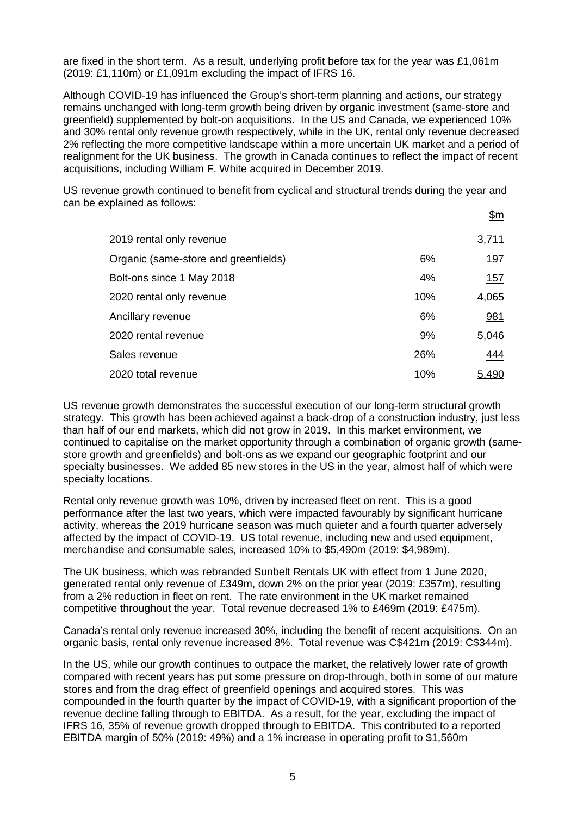are fixed in the short term. As a result, underlying profit before tax for the year was £1,061m (2019: £1,110m) or £1,091m excluding the impact of IFRS 16.

Although COVID-19 has influenced the Group's short-term planning and actions, our strategy remains unchanged with long-term growth being driven by organic investment (same-store and greenfield) supplemented by bolt-on acquisitions. In the US and Canada, we experienced 10% and 30% rental only revenue growth respectively, while in the UK, rental only revenue decreased 2% reflecting the more competitive landscape within a more uncertain UK market and a period of realignment for the UK business. The growth in Canada continues to reflect the impact of recent acquisitions, including William F. White acquired in December 2019.

US revenue growth continued to benefit from cyclical and structural trends during the year and can be explained as follows:

|                                      |     | <u>\$m</u> |
|--------------------------------------|-----|------------|
| 2019 rental only revenue             |     | 3,711      |
| Organic (same-store and greenfields) | 6%  | 197        |
| Bolt-ons since 1 May 2018            | 4%  | 157        |
| 2020 rental only revenue             | 10% | 4,065      |
| Ancillary revenue                    | 6%  | 981        |
| 2020 rental revenue                  | 9%  | 5,046      |
| Sales revenue                        | 26% | 444        |
| 2020 total revenue                   | 10% | 5.490      |

US revenue growth demonstrates the successful execution of our long-term structural growth strategy. This growth has been achieved against a back-drop of a construction industry, just less than half of our end markets, which did not grow in 2019. In this market environment, we continued to capitalise on the market opportunity through a combination of organic growth (samestore growth and greenfields) and bolt-ons as we expand our geographic footprint and our specialty businesses. We added 85 new stores in the US in the year, almost half of which were specialty locations.

Rental only revenue growth was 10%, driven by increased fleet on rent. This is a good performance after the last two years, which were impacted favourably by significant hurricane activity, whereas the 2019 hurricane season was much quieter and a fourth quarter adversely affected by the impact of COVID-19. US total revenue, including new and used equipment, merchandise and consumable sales, increased 10% to \$5,490m (2019: \$4,989m).

The UK business, which was rebranded Sunbelt Rentals UK with effect from 1 June 2020, generated rental only revenue of £349m, down 2% on the prior year (2019: £357m), resulting from a 2% reduction in fleet on rent. The rate environment in the UK market remained competitive throughout the year. Total revenue decreased 1% to £469m (2019: £475m).

Canada's rental only revenue increased 30%, including the benefit of recent acquisitions. On an organic basis, rental only revenue increased 8%. Total revenue was C\$421m (2019: C\$344m).

In the US, while our growth continues to outpace the market, the relatively lower rate of growth compared with recent years has put some pressure on drop-through, both in some of our mature stores and from the drag effect of greenfield openings and acquired stores. This was compounded in the fourth quarter by the impact of COVID-19, with a significant proportion of the revenue decline falling through to EBITDA. As a result, for the year, excluding the impact of IFRS 16, 35% of revenue growth dropped through to EBITDA. This contributed to a reported EBITDA margin of 50% (2019: 49%) and a 1% increase in operating profit to \$1,560m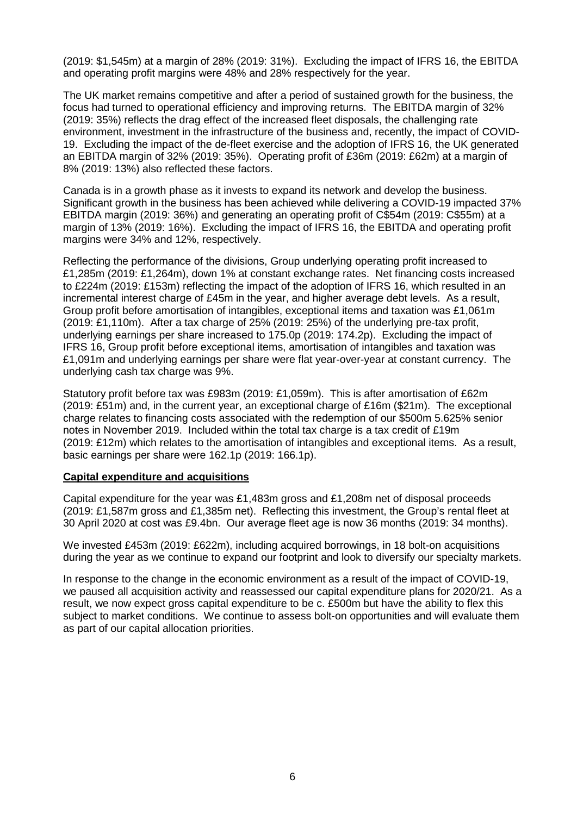(2019: \$1,545m) at a margin of 28% (2019: 31%). Excluding the impact of IFRS 16, the EBITDA and operating profit margins were 48% and 28% respectively for the year.

The UK market remains competitive and after a period of sustained growth for the business, the focus had turned to operational efficiency and improving returns. The EBITDA margin of 32% (2019: 35%) reflects the drag effect of the increased fleet disposals, the challenging rate environment, investment in the infrastructure of the business and, recently, the impact of COVID-19. Excluding the impact of the de-fleet exercise and the adoption of IFRS 16, the UK generated an EBITDA margin of 32% (2019: 35%). Operating profit of £36m (2019: £62m) at a margin of 8% (2019: 13%) also reflected these factors.

Canada is in a growth phase as it invests to expand its network and develop the business. Significant growth in the business has been achieved while delivering a COVID-19 impacted 37% EBITDA margin (2019: 36%) and generating an operating profit of C\$54m (2019: C\$55m) at a margin of 13% (2019: 16%). Excluding the impact of IFRS 16, the EBITDA and operating profit margins were 34% and 12%, respectively.

Reflecting the performance of the divisions, Group underlying operating profit increased to £1,285m (2019: £1,264m), down 1% at constant exchange rates. Net financing costs increased to £224m (2019: £153m) reflecting the impact of the adoption of IFRS 16, which resulted in an incremental interest charge of £45m in the year, and higher average debt levels. As a result, Group profit before amortisation of intangibles, exceptional items and taxation was £1,061m (2019: £1,110m). After a tax charge of 25% (2019: 25%) of the underlying pre-tax profit, underlying earnings per share increased to 175.0p (2019: 174.2p). Excluding the impact of IFRS 16, Group profit before exceptional items, amortisation of intangibles and taxation was £1,091m and underlying earnings per share were flat year-over-year at constant currency. The underlying cash tax charge was 9%.

Statutory profit before tax was £983m (2019: £1,059m). This is after amortisation of £62m (2019: £51m) and, in the current year, an exceptional charge of £16m (\$21m). The exceptional charge relates to financing costs associated with the redemption of our \$500m 5.625% senior notes in November 2019. Included within the total tax charge is a tax credit of £19m (2019: £12m) which relates to the amortisation of intangibles and exceptional items. As a result, basic earnings per share were 162.1p (2019: 166.1p).

#### **Capital expenditure and acquisitions**

Capital expenditure for the year was £1,483m gross and £1,208m net of disposal proceeds (2019: £1,587m gross and £1,385m net). Reflecting this investment, the Group's rental fleet at 30 April 2020 at cost was £9.4bn. Our average fleet age is now 36 months (2019: 34 months).

We invested £453m (2019: £622m), including acquired borrowings, in 18 bolt-on acquisitions during the year as we continue to expand our footprint and look to diversify our specialty markets.

In response to the change in the economic environment as a result of the impact of COVID-19, we paused all acquisition activity and reassessed our capital expenditure plans for 2020/21. As a result, we now expect gross capital expenditure to be c. £500m but have the ability to flex this subject to market conditions. We continue to assess bolt-on opportunities and will evaluate them as part of our capital allocation priorities.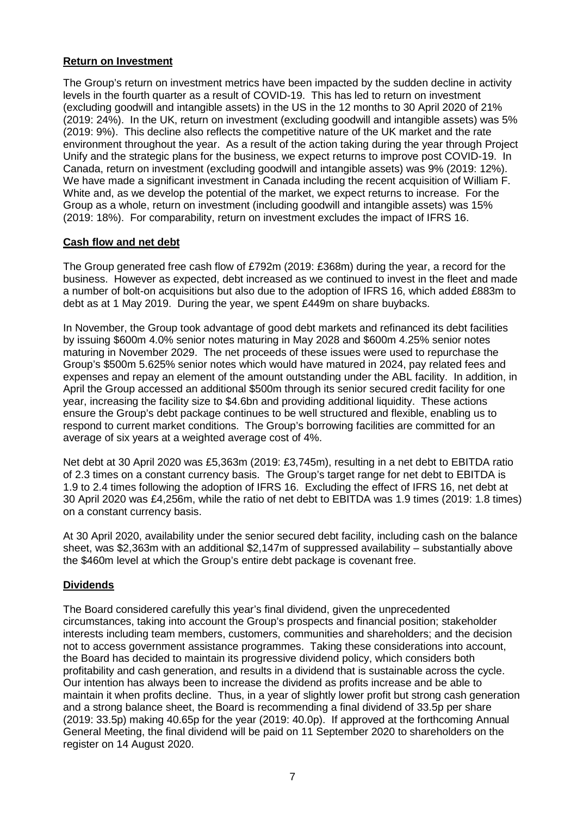## **Return on Investment**

The Group's return on investment metrics have been impacted by the sudden decline in activity levels in the fourth quarter as a result of COVID-19. This has led to return on investment (excluding goodwill and intangible assets) in the US in the 12 months to 30 April 2020 of 21% (2019: 24%). In the UK, return on investment (excluding goodwill and intangible assets) was 5% (2019: 9%). This decline also reflects the competitive nature of the UK market and the rate environment throughout the year. As a result of the action taking during the year through Project Unify and the strategic plans for the business, we expect returns to improve post COVID-19. In Canada, return on investment (excluding goodwill and intangible assets) was 9% (2019: 12%). We have made a significant investment in Canada including the recent acquisition of William F. White and, as we develop the potential of the market, we expect returns to increase. For the Group as a whole, return on investment (including goodwill and intangible assets) was 15% (2019: 18%). For comparability, return on investment excludes the impact of IFRS 16.

## **Cash flow and net debt**

The Group generated free cash flow of £792m (2019: £368m) during the year, a record for the business. However as expected, debt increased as we continued to invest in the fleet and made a number of bolt-on acquisitions but also due to the adoption of IFRS 16, which added £883m to debt as at 1 May 2019. During the year, we spent £449m on share buybacks.

In November, the Group took advantage of good debt markets and refinanced its debt facilities by issuing \$600m 4.0% senior notes maturing in May 2028 and \$600m 4.25% senior notes maturing in November 2029. The net proceeds of these issues were used to repurchase the Group's \$500m 5.625% senior notes which would have matured in 2024, pay related fees and expenses and repay an element of the amount outstanding under the ABL facility. In addition, in April the Group accessed an additional \$500m through its senior secured credit facility for one year, increasing the facility size to \$4.6bn and providing additional liquidity. These actions ensure the Group's debt package continues to be well structured and flexible, enabling us to respond to current market conditions. The Group's borrowing facilities are committed for an average of six years at a weighted average cost of 4%.

Net debt at 30 April 2020 was £5,363m (2019: £3,745m), resulting in a net debt to EBITDA ratio of 2.3 times on a constant currency basis. The Group's target range for net debt to EBITDA is 1.9 to 2.4 times following the adoption of IFRS 16. Excluding the effect of IFRS 16, net debt at 30 April 2020 was £4,256m, while the ratio of net debt to EBITDA was 1.9 times (2019: 1.8 times) on a constant currency basis.

At 30 April 2020, availability under the senior secured debt facility, including cash on the balance sheet, was \$2,363m with an additional \$2,147m of suppressed availability – substantially above the \$460m level at which the Group's entire debt package is covenant free.

# **Dividends**

The Board considered carefully this year's final dividend, given the unprecedented circumstances, taking into account the Group's prospects and financial position; stakeholder interests including team members, customers, communities and shareholders; and the decision not to access government assistance programmes. Taking these considerations into account, the Board has decided to maintain its progressive dividend policy, which considers both profitability and cash generation, and results in a dividend that is sustainable across the cycle. Our intention has always been to increase the dividend as profits increase and be able to maintain it when profits decline. Thus, in a year of slightly lower profit but strong cash generation and a strong balance sheet, the Board is recommending a final dividend of 33.5p per share (2019: 33.5p) making 40.65p for the year (2019: 40.0p). If approved at the forthcoming Annual General Meeting, the final dividend will be paid on 11 September 2020 to shareholders on the register on 14 August 2020.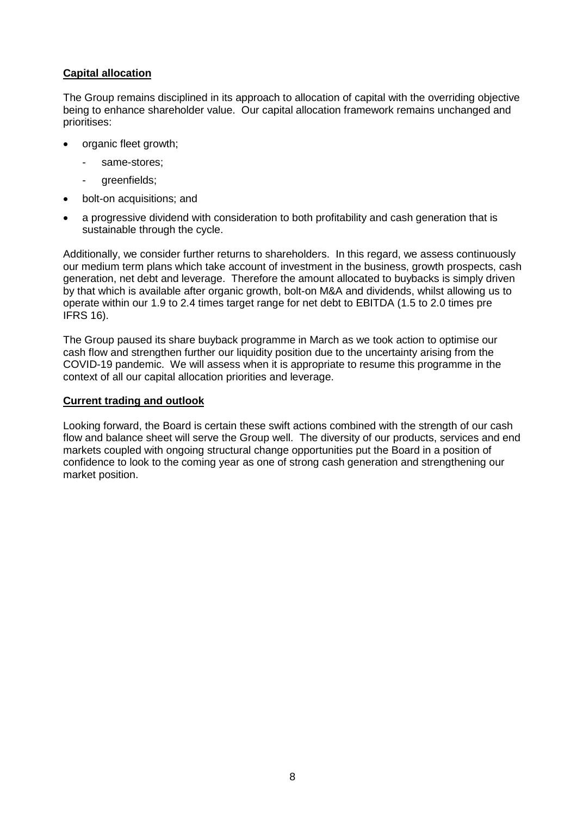## **Capital allocation**

The Group remains disciplined in its approach to allocation of capital with the overriding objective being to enhance shareholder value. Our capital allocation framework remains unchanged and prioritises:

- organic fleet growth;
	- same-stores;
	- greenfields;
- bolt-on acquisitions; and
- a progressive dividend with consideration to both profitability and cash generation that is sustainable through the cycle.

Additionally, we consider further returns to shareholders. In this regard, we assess continuously our medium term plans which take account of investment in the business, growth prospects, cash generation, net debt and leverage. Therefore the amount allocated to buybacks is simply driven by that which is available after organic growth, bolt-on M&A and dividends, whilst allowing us to operate within our 1.9 to 2.4 times target range for net debt to EBITDA (1.5 to 2.0 times pre IFRS 16).

The Group paused its share buyback programme in March as we took action to optimise our cash flow and strengthen further our liquidity position due to the uncertainty arising from the COVID-19 pandemic. We will assess when it is appropriate to resume this programme in the context of all our capital allocation priorities and leverage.

#### **Current trading and outlook**

Looking forward, the Board is certain these swift actions combined with the strength of our cash flow and balance sheet will serve the Group well. The diversity of our products, services and end markets coupled with ongoing structural change opportunities put the Board in a position of confidence to look to the coming year as one of strong cash generation and strengthening our market position.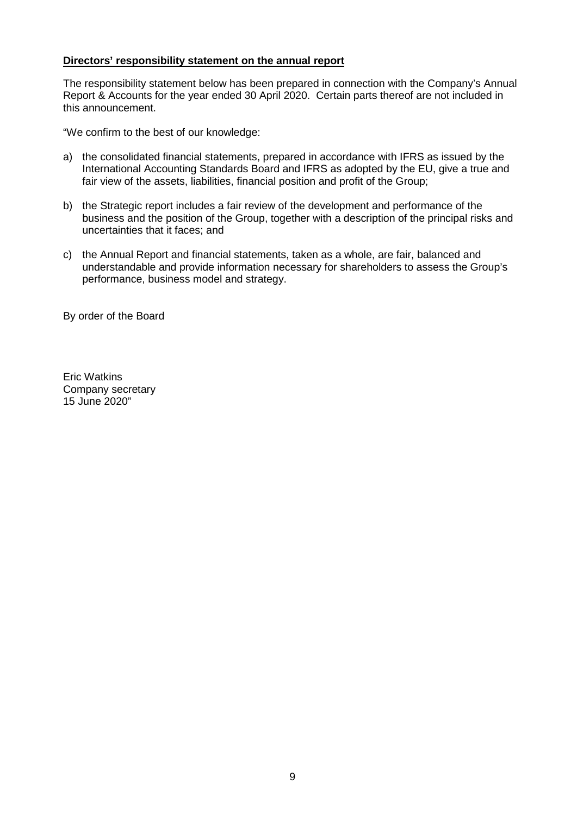## **Directors' responsibility statement on the annual report**

The responsibility statement below has been prepared in connection with the Company's Annual Report & Accounts for the year ended 30 April 2020. Certain parts thereof are not included in this announcement.

"We confirm to the best of our knowledge:

- a) the consolidated financial statements, prepared in accordance with IFRS as issued by the International Accounting Standards Board and IFRS as adopted by the EU, give a true and fair view of the assets, liabilities, financial position and profit of the Group;
- b) the Strategic report includes a fair review of the development and performance of the business and the position of the Group, together with a description of the principal risks and uncertainties that it faces; and
- c) the Annual Report and financial statements, taken as a whole, are fair, balanced and understandable and provide information necessary for shareholders to assess the Group's performance, business model and strategy.

By order of the Board

Eric Watkins Company secretary 15 June 2020"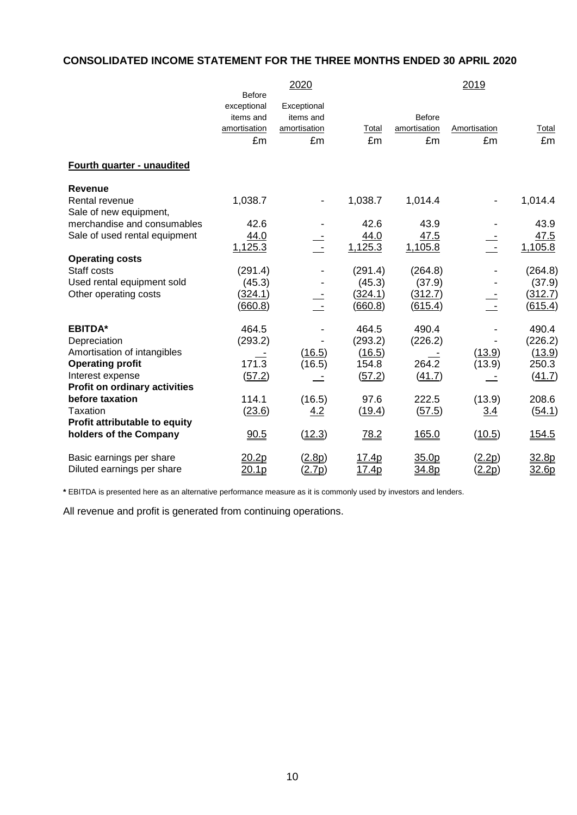# **CONSOLIDATED INCOME STATEMENT FOR THE THREE MONTHS ENDED 30 APRIL 2020**

|                                      |                              | 2020         | 2019         |               |                         |              |  |
|--------------------------------------|------------------------------|--------------|--------------|---------------|-------------------------|--------------|--|
|                                      | <b>Before</b><br>exceptional | Exceptional  |              |               |                         |              |  |
|                                      | items and                    | items and    |              | <b>Before</b> |                         |              |  |
|                                      | amortisation                 | amortisation | Total        | amortisation  | Amortisation            | Total        |  |
|                                      | £m                           | £m           | £m           | £m            | £m                      | £m           |  |
| Fourth quarter - unaudited           |                              |              |              |               |                         |              |  |
| Revenue                              |                              |              |              |               |                         |              |  |
| Rental revenue                       | 1,038.7                      |              | 1,038.7      | 1,014.4       |                         | 1,014.4      |  |
| Sale of new equipment,               |                              |              |              |               |                         |              |  |
| merchandise and consumables          | 42.6                         |              | 42.6         | 43.9          |                         | 43.9         |  |
| Sale of used rental equipment        | 44.0                         |              | 44.0         | 47.5          |                         | 47.5         |  |
|                                      | 1,125.3                      |              | 1,125.3      | 1,105.8       | $\overline{\mathbb{R}}$ | 1,105.8      |  |
| <b>Operating costs</b>               |                              |              |              |               |                         |              |  |
| Staff costs                          | (291.4)                      |              | (291.4)      | (264.8)       |                         | (264.8)      |  |
| Used rental equipment sold           | (45.3)                       |              | (45.3)       | (37.9)        |                         | (37.9)       |  |
| Other operating costs                | (324.1)                      |              | (324.1)      | (312.7)       |                         | (312.7)      |  |
|                                      | (660.8)                      |              | (660.8)      | (615.4)       |                         | (615.4)      |  |
| <b>EBITDA*</b>                       | 464.5                        |              | 464.5        | 490.4         |                         | 490.4        |  |
| Depreciation                         | (293.2)                      |              | (293.2)      | (226.2)       |                         | (226.2)      |  |
| Amortisation of intangibles          |                              | (16.5)       | (16.5)       |               | (13.9)                  | (13.9)       |  |
| <b>Operating profit</b>              | 171.3                        | (16.5)       | 154.8        | 264.2         | (13.9)                  | 250.3        |  |
| Interest expense                     | (57.2)                       |              | (57.2)       | (41.7)        |                         | (41.7)       |  |
| <b>Profit on ordinary activities</b> |                              |              |              |               |                         |              |  |
| before taxation                      | 114.1                        | (16.5)       | 97.6         | 222.5         | (13.9)                  | 208.6        |  |
| Taxation                             | (23.6)                       | 4.2          | (19.4)       | (57.5)        | 3.4                     | (54.1)       |  |
| Profit attributable to equity        |                              |              |              |               |                         |              |  |
| holders of the Company               | 90.5                         | (12.3)       | 78.2         | 165.0         | (10.5)                  | <u>154.5</u> |  |
| Basic earnings per share             | 20.2p                        | (2.8p)       | <u>17.4p</u> | 35.0p         | (2.2p)                  | 32.8p        |  |
| Diluted earnings per share           | <u>20.1p</u>                 | (2.7p)       | <u>17.4p</u> | 34.8p         | (2.2p)                  | 32.6p        |  |

**\*** EBITDA is presented here as an alternative performance measure as it is commonly used by investors and lenders.

All revenue and profit is generated from continuing operations.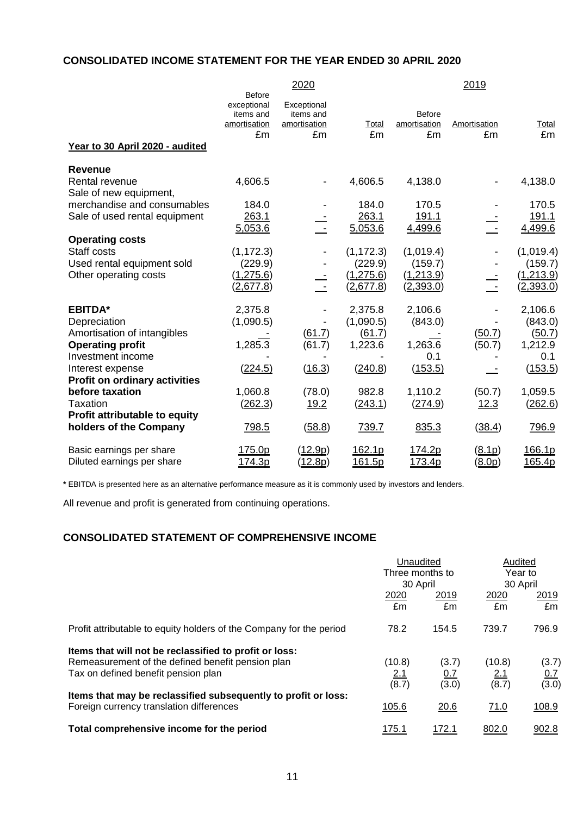# **CONSOLIDATED INCOME STATEMENT FOR THE YEAR ENDED 30 APRIL 2020**

|                                      | 2020                                                            |                                                |                        | 2019                         |                          |             |  |
|--------------------------------------|-----------------------------------------------------------------|------------------------------------------------|------------------------|------------------------------|--------------------------|-------------|--|
| Year to 30 April 2020 - audited      | <b>Before</b><br>exceptional<br>items and<br>amortisation<br>£m | Exceptional<br>items and<br>amortisation<br>£m | Total<br>£m            | Before<br>amortisation<br>£m | Amortisation<br>£m       | Total<br>£m |  |
| <b>Revenue</b>                       |                                                                 |                                                |                        |                              |                          |             |  |
| Rental revenue                       | 4,606.5                                                         |                                                | 4,606.5                | 4,138.0                      | $\overline{\phantom{0}}$ | 4,138.0     |  |
| Sale of new equipment,               |                                                                 |                                                |                        |                              |                          |             |  |
| merchandise and consumables          | 184.0                                                           |                                                | 184.0                  | 170.5                        |                          | 170.5       |  |
| Sale of used rental equipment        | 263.1                                                           |                                                | 263.1                  | 191.1                        |                          | 191.1       |  |
|                                      | 5,053.6                                                         |                                                | 5,053.6                | 4,499.6                      |                          | 4,499.6     |  |
| <b>Operating costs</b>               |                                                                 |                                                |                        |                              |                          |             |  |
| Staff costs                          | (1, 172.3)                                                      |                                                | (1, 172.3)             | (1,019.4)                    |                          | (1,019.4)   |  |
| Used rental equipment sold           | (229.9)                                                         |                                                | (229.9)                | (159.7)                      |                          | (159.7)     |  |
| Other operating costs                | (1, 275.6)<br>(2,677.8)                                         |                                                | (1,275.6)<br>(2,677.8) | (1,213.9)                    |                          | (1,213.9)   |  |
|                                      |                                                                 |                                                |                        | (2,393.0)                    |                          | (2,393.0)   |  |
| <b>EBITDA*</b>                       | 2,375.8                                                         |                                                | 2,375.8                | 2,106.6                      |                          | 2,106.6     |  |
| Depreciation                         | (1,090.5)                                                       |                                                | (1,090.5)              | (843.0)                      |                          | (843.0)     |  |
| Amortisation of intangibles          |                                                                 | (61.7)                                         | (61.7)                 |                              | (50.7)                   | (50.7)      |  |
| <b>Operating profit</b>              | 1,285.3                                                         | (61.7)                                         | 1,223.6                | 1,263.6                      | (50.7)                   | 1,212.9     |  |
| Investment income                    |                                                                 |                                                |                        | 0.1                          |                          | 0.1         |  |
| Interest expense                     | (224.5)                                                         | (16.3)                                         | (240.8)                | (153.5)                      |                          | (153.5)     |  |
| <b>Profit on ordinary activities</b> |                                                                 |                                                |                        |                              |                          |             |  |
| before taxation                      | 1,060.8                                                         | (78.0)                                         | 982.8                  | 1,110.2                      | (50.7)                   | 1,059.5     |  |
| Taxation                             | (262.3)                                                         | <u>19.2</u>                                    | (243.1)                | (274.9)                      | 12.3                     | (262.6)     |  |
| Profit attributable to equity        |                                                                 |                                                |                        |                              |                          |             |  |
| holders of the Company               | 798.5                                                           | (58.8)                                         | 739.7                  | 835.3                        | (38.4)                   | 796.9       |  |
| Basic earnings per share             | 175.0p                                                          | (12.9p)                                        | 162.1p                 | 174.2p                       | (8.1p)                   | 166.1p      |  |
| Diluted earnings per share           | 174.3p                                                          | (12.8p)                                        | 161.5p                 | 173.4p                       | (8.0p)                   | 165.4p      |  |

**\*** EBITDA is presented here as an alternative performance measure as it is commonly used by investors and lenders.

All revenue and profit is generated from continuing operations.

# **CONSOLIDATED STATEMENT OF COMPREHENSIVE INCOME**

|                                                                                                            | Unaudited<br>Three months to<br>30 April |              | Audited<br>Year to<br>30 April |            |
|------------------------------------------------------------------------------------------------------------|------------------------------------------|--------------|--------------------------------|------------|
|                                                                                                            |                                          |              |                                |            |
|                                                                                                            | 2020<br>£m                               | 2019<br>£m   | 2020<br>£m                     | 2019<br>£m |
| Profit attributable to equity holders of the Company for the period                                        | 78.2                                     | 154.5        | 739.7                          | 796.9      |
| Items that will not be reclassified to profit or loss:                                                     |                                          |              |                                |            |
| Remeasurement of the defined benefit pension plan                                                          | (10.8)                                   | (3.7)        | (10.8)                         | (3.7)      |
| Tax on defined benefit pension plan                                                                        | <u>2.1</u>                               | <u>0.7</u>   | <u>2.1</u>                     | 0.7        |
|                                                                                                            | (8.7)                                    | (3.0)        | (8.7)                          | (3.0)      |
| Items that may be reclassified subsequently to profit or loss:<br>Foreign currency translation differences | 105.6                                    | 20.6         | 71.0                           | 108.9      |
| Total comprehensive income for the period                                                                  | <u> 175.1</u>                            | <u>172.1</u> | 802.0                          | 902.8      |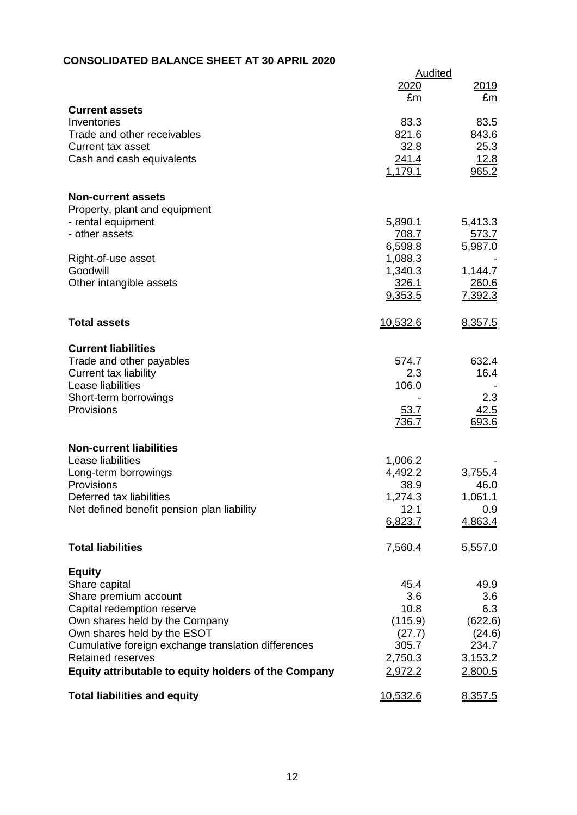# **CONSOLIDATED BALANCE SHEET AT 30 APRIL 2020**

|                                                      |              | <b>Audited</b> |
|------------------------------------------------------|--------------|----------------|
|                                                      | 2020         | 2019           |
|                                                      | £m           | £m             |
| <b>Current assets</b>                                |              |                |
| Inventories                                          | 83.3         | 83.5           |
| Trade and other receivables                          | 821.6        | 843.6          |
| <b>Current tax asset</b>                             | 32.8         | 25.3           |
| Cash and cash equivalents                            | 241.4        | <u>12.8</u>    |
|                                                      | 1,179.1      | 965.2          |
| <b>Non-current assets</b>                            |              |                |
| Property, plant and equipment                        |              |                |
| - rental equipment                                   | 5,890.1      | 5,413.3        |
| - other assets                                       | <u>708.7</u> | <u>573.7</u>   |
|                                                      | 6,598.8      | 5,987.0        |
| Right-of-use asset                                   | 1,088.3      |                |
| Goodwill                                             | 1,340.3      | 1,144.7        |
| Other intangible assets                              | 326.1        | 260.6          |
|                                                      | 9,353.5      | 7,392.3        |
|                                                      |              |                |
| <b>Total assets</b>                                  | 10,532.6     | 8,357.5        |
|                                                      |              |                |
| <b>Current liabilities</b>                           |              |                |
| Trade and other payables                             | 574.7        | 632.4          |
| Current tax liability                                | 2.3          | 16.4           |
| Lease liabilities                                    | 106.0        |                |
| Short-term borrowings                                |              | 2.3            |
| Provisions                                           | 53.7         | 42.5           |
|                                                      | <u>736.7</u> | 693.6          |
|                                                      |              |                |
| <b>Non-current liabilities</b>                       |              |                |
| Lease liabilities                                    | 1,006.2      |                |
| Long-term borrowings                                 | 4,492.2      | 3,755.4        |
| Provisions                                           | 38.9         | 46.0           |
| Deferred tax liabilities                             | 1.274.3      | 1,061.1        |
| Net defined benefit pension plan liability           | 12.1         | <u>0.9</u>     |
|                                                      | 6,823.7      | 4,863.4        |
|                                                      |              |                |
| <b>Total liabilities</b>                             | 7,560.4      | 5,557.0        |
| <b>Equity</b>                                        |              |                |
| Share capital                                        | 45.4         | 49.9           |
| Share premium account                                | 3.6          | 3.6            |
| Capital redemption reserve                           | 10.8         | 6.3            |
| Own shares held by the Company                       | (115.9)      | (622.6)        |
| Own shares held by the ESOT                          | (27.7)       | (24.6)         |
| Cumulative foreign exchange translation differences  | 305.7        | 234.7          |
| <b>Retained reserves</b>                             | 2,750.3      | 3,153.2        |
| Equity attributable to equity holders of the Company | 2,972.2      | 2,800.5        |
|                                                      |              |                |
| <b>Total liabilities and equity</b>                  | 10,532.6     | 8,357.5        |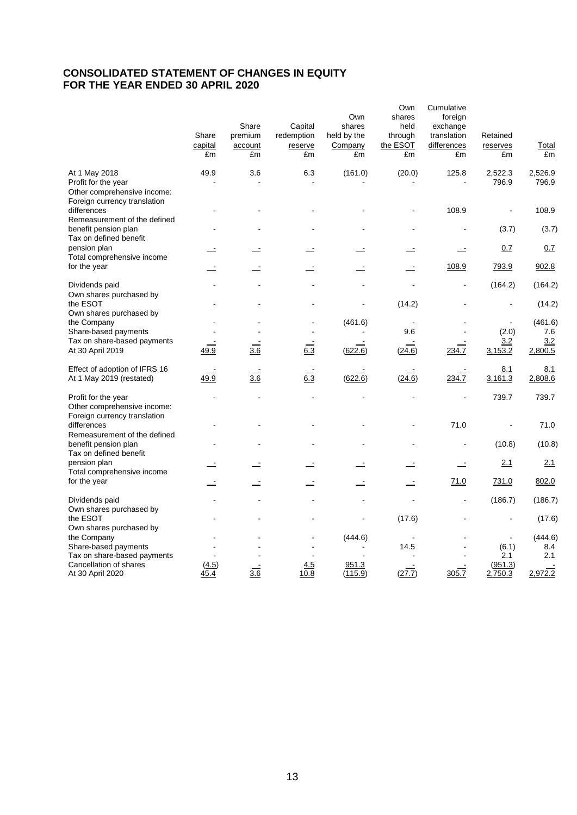# **CONSOLIDATED STATEMENT OF CHANGES IN EQUITY FOR THE YEAR ENDED 30 APRIL 2020**

|                                                                                                     | Share<br>capital<br>£m   | Share<br>premium<br>account<br>£m | Capital<br>redemption<br>reserve<br>£m | Own<br>shares<br>held by the<br>Company<br>£m | Own<br>shares<br>held<br>through<br>the ESOT<br>£m | Cumulative<br>foreign<br>exchange<br>translation<br>differences<br>£m | Retained<br>reserves<br>£m | Total<br>£m      |
|-----------------------------------------------------------------------------------------------------|--------------------------|-----------------------------------|----------------------------------------|-----------------------------------------------|----------------------------------------------------|-----------------------------------------------------------------------|----------------------------|------------------|
| At 1 May 2018<br>Profit for the year<br>Other comprehensive income:<br>Foreign currency translation | 49.9                     | 3.6                               | 6.3                                    | (161.0)                                       | (20.0)                                             | 125.8                                                                 | 2,522.3<br>796.9           | 2,526.9<br>796.9 |
| differences<br>Remeasurement of the defined                                                         |                          |                                   |                                        |                                               |                                                    | 108.9                                                                 |                            | 108.9            |
| benefit pension plan<br>Tax on defined benefit                                                      |                          |                                   |                                        |                                               |                                                    |                                                                       | (3.7)                      | (3.7)            |
| pension plan<br>Total comprehensive income                                                          |                          |                                   |                                        |                                               |                                                    | ÷.                                                                    | 0.7                        | 0.7              |
| for the year                                                                                        | $\overline{\phantom{a}}$ |                                   | Ż,                                     |                                               | $\overline{\phantom{a}}$                           | 108.9                                                                 | 793.9                      | 902.8            |
| Dividends paid<br>Own shares purchased by                                                           |                          |                                   |                                        |                                               |                                                    |                                                                       | (164.2)                    | (164.2)          |
| the ESOT<br>Own shares purchased by                                                                 |                          |                                   |                                        |                                               | (14.2)                                             |                                                                       |                            | (14.2)           |
| the Company                                                                                         |                          |                                   |                                        | (461.6)                                       |                                                    |                                                                       |                            | (461.6)          |
| Share-based payments                                                                                |                          |                                   |                                        |                                               | 9.6                                                |                                                                       | (2.0)                      | 7.6              |
| Tax on share-based payments                                                                         |                          |                                   |                                        |                                               |                                                    |                                                                       | 3.2                        | 3.2              |
| At 30 April 2019                                                                                    | 49.9                     | 3.6                               | 6.3                                    | (622.6)                                       | (24.6)                                             | 234.7                                                                 | 3,153.2                    | 2,800.5          |
| Effect of adoption of IFRS 16<br>At 1 May 2019 (restated)                                           | 49.9                     | 3.6                               | 6.3                                    | (622.6)                                       | (24.6)                                             | 234.7                                                                 | 8.1<br>3,161.3             | 8.1<br>2,808.6   |
| Profit for the year<br>Other comprehensive income:<br>Foreign currency translation                  |                          |                                   |                                        |                                               |                                                    |                                                                       | 739.7                      | 739.7            |
| differences<br>Remeasurement of the defined                                                         |                          |                                   |                                        |                                               |                                                    | 71.0                                                                  |                            | 71.0             |
| benefit pension plan<br>Tax on defined benefit                                                      |                          |                                   |                                        |                                               |                                                    |                                                                       | (10.8)                     | (10.8)           |
| pension plan<br>Total comprehensive income                                                          |                          |                                   |                                        |                                               |                                                    | $\equiv$                                                              | 2.1                        | 2.1              |
| for the year                                                                                        |                          |                                   |                                        |                                               |                                                    | 71.0                                                                  | 731.0                      | 802.0            |
| Dividends paid<br>Own shares purchased by                                                           |                          |                                   |                                        |                                               |                                                    |                                                                       | (186.7)                    | (186.7)          |
| the ESOT<br>Own shares purchased by                                                                 |                          |                                   |                                        |                                               | (17.6)                                             |                                                                       |                            | (17.6)           |
| the Company                                                                                         |                          |                                   |                                        | (444.6)                                       |                                                    |                                                                       |                            | (444.6)          |
| Share-based payments                                                                                |                          |                                   |                                        |                                               | 14.5                                               |                                                                       | (6.1)                      | 8.4              |
| Tax on share-based payments                                                                         |                          |                                   |                                        |                                               |                                                    |                                                                       | 2.1                        | 2.1              |
| Cancellation of shares<br>At 30 April 2020                                                          | (4.5)<br>45.4            | 3.6                               | 4.5<br>10.8                            | 951.3<br>(115.9)                              | (27.7)                                             | 305.7                                                                 | (951.3)<br>2,750.3         | 2,972.2          |
|                                                                                                     |                          |                                   |                                        |                                               |                                                    |                                                                       |                            |                  |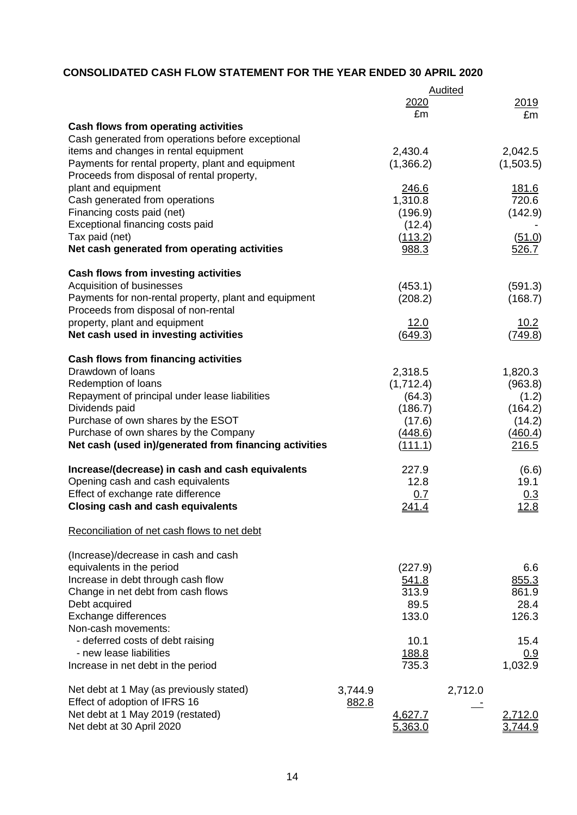# **CONSOLIDATED CASH FLOW STATEMENT FOR THE YEAR ENDED 30 APRIL 2020**

|                                                        |                  | Audited         |
|--------------------------------------------------------|------------------|-----------------|
|                                                        | 2020<br>£m       | 2019<br>£m      |
| <b>Cash flows from operating activities</b>            |                  |                 |
| Cash generated from operations before exceptional      |                  |                 |
| items and changes in rental equipment                  | 2,430.4          | 2,042.5         |
| Payments for rental property, plant and equipment      | (1,366.2)        | (1,503.5)       |
| Proceeds from disposal of rental property,             |                  |                 |
| plant and equipment                                    | 246.6            | 181.6           |
| Cash generated from operations                         | 1,310.8          | 720.6           |
| Financing costs paid (net)                             | (196.9)          | (142.9)         |
| Exceptional financing costs paid                       | (12.4)           |                 |
| Tax paid (net)                                         |                  |                 |
| Net cash generated from operating activities           | (113.2)<br>988.3 | (51.0)<br>526.7 |
| <b>Cash flows from investing activities</b>            |                  |                 |
| Acquisition of businesses                              | (453.1)          | (591.3)         |
| Payments for non-rental property, plant and equipment  | (208.2)          | (168.7)         |
| Proceeds from disposal of non-rental                   |                  |                 |
| property, plant and equipment                          | 12.0             | 10.2            |
| Net cash used in investing activities                  | (649.3)          | (749.8)         |
|                                                        |                  |                 |
| <b>Cash flows from financing activities</b>            |                  |                 |
| Drawdown of loans                                      | 2,318.5          | 1,820.3         |
| Redemption of loans                                    | (1,712.4)        | (963.8)         |
| Repayment of principal under lease liabilities         | (64.3)           | (1.2)           |
| Dividends paid                                         | (186.7)          | (164.2)         |
| Purchase of own shares by the ESOT                     | (17.6)           | (14.2)          |
| Purchase of own shares by the Company                  | (448.6)          | (460.4)         |
| Net cash (used in)/generated from financing activities | <u>(111.1)</u>   | 216.5           |
| Increase/(decrease) in cash and cash equivalents       | 227.9            | (6.6)           |
| Opening cash and cash equivalents                      | 12.8             | 19.1            |
| Effect of exchange rate difference                     | 0.7              | 0.3             |
| <b>Closing cash and cash equivalents</b>               | <u>241.4</u>     | <u>12.8</u>     |
| Reconciliation of net cash flows to net debt           |                  |                 |
| (Increase)/decrease in cash and cash                   |                  |                 |
| equivalents in the period                              | (227.9)          | 6.6             |
| Increase in debt through cash flow                     | 541.8            | 855.3           |
| Change in net debt from cash flows                     | 313.9            | 861.9           |
| Debt acquired                                          | 89.5             | 28.4            |
| Exchange differences                                   | 133.0            | 126.3           |
| Non-cash movements:                                    |                  |                 |
| - deferred costs of debt raising                       | 10.1             | 15.4            |
| - new lease liabilities                                | 188.8            | 0.9             |
| Increase in net debt in the period                     | 735.3            | 1,032.9         |
|                                                        |                  |                 |
| Net debt at 1 May (as previously stated)               | 3,744.9          | 2,712.0         |
| Effect of adoption of IFRS 16                          | 882.8            |                 |
| Net debt at 1 May 2019 (restated)                      | 4,627.7          | 2,712.0         |
| Net debt at 30 April 2020                              | 5,363.0          | 3.744.9         |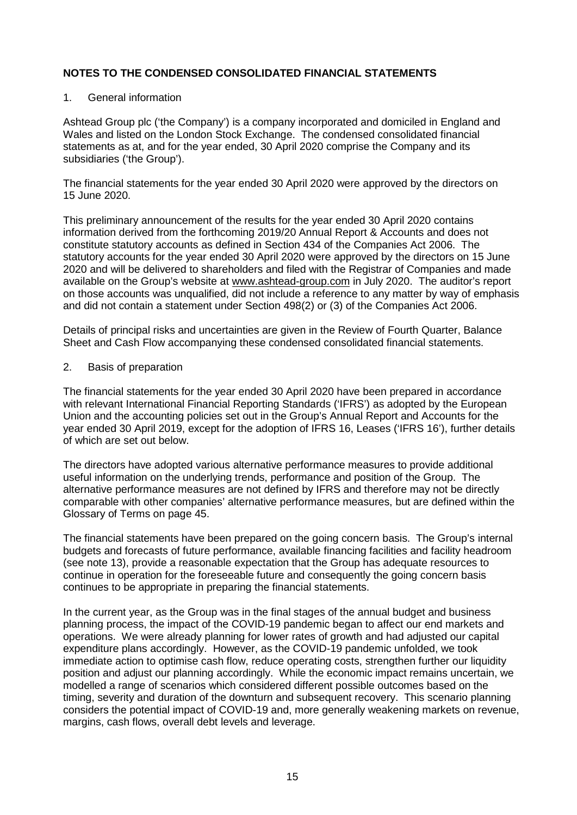#### 1. General information

Ashtead Group plc ('the Company') is a company incorporated and domiciled in England and Wales and listed on the London Stock Exchange. The condensed consolidated financial statements as at, and for the year ended, 30 April 2020 comprise the Company and its subsidiaries ('the Group').

The financial statements for the year ended 30 April 2020 were approved by the directors on 15 June 2020.

This preliminary announcement of the results for the year ended 30 April 2020 contains information derived from the forthcoming 2019/20 Annual Report & Accounts and does not constitute statutory accounts as defined in Section 434 of the Companies Act 2006. The statutory accounts for the year ended 30 April 2020 were approved by the directors on 15 June 2020 and will be delivered to shareholders and filed with the Registrar of Companies and made available on the Group's website at [www.ashtead-group.com](http://www.ashtead-group.com/) in July 2020. The auditor's report on those accounts was unqualified, did not include a reference to any matter by way of emphasis and did not contain a statement under Section 498(2) or (3) of the Companies Act 2006.

Details of principal risks and uncertainties are given in the Review of Fourth Quarter, Balance Sheet and Cash Flow accompanying these condensed consolidated financial statements.

#### 2. Basis of preparation

The financial statements for the year ended 30 April 2020 have been prepared in accordance with relevant International Financial Reporting Standards ('IFRS') as adopted by the European Union and the accounting policies set out in the Group's Annual Report and Accounts for the year ended 30 April 2019, except for the adoption of IFRS 16, Leases ('IFRS 16'), further details of which are set out below.

The directors have adopted various alternative performance measures to provide additional useful information on the underlying trends, performance and position of the Group. The alternative performance measures are not defined by IFRS and therefore may not be directly comparable with other companies' alternative performance measures, but are defined within the Glossary of Terms on page 45.

The financial statements have been prepared on the going concern basis. The Group's internal budgets and forecasts of future performance, available financing facilities and facility headroom (see note 13), provide a reasonable expectation that the Group has adequate resources to continue in operation for the foreseeable future and consequently the going concern basis continues to be appropriate in preparing the financial statements.

In the current year, as the Group was in the final stages of the annual budget and business planning process, the impact of the COVID-19 pandemic began to affect our end markets and operations. We were already planning for lower rates of growth and had adjusted our capital expenditure plans accordingly. However, as the COVID-19 pandemic unfolded, we took immediate action to optimise cash flow, reduce operating costs, strengthen further our liquidity position and adjust our planning accordingly. While the economic impact remains uncertain, we modelled a range of scenarios which considered different possible outcomes based on the timing, severity and duration of the downturn and subsequent recovery. This scenario planning considers the potential impact of COVID-19 and, more generally weakening markets on revenue, margins, cash flows, overall debt levels and leverage.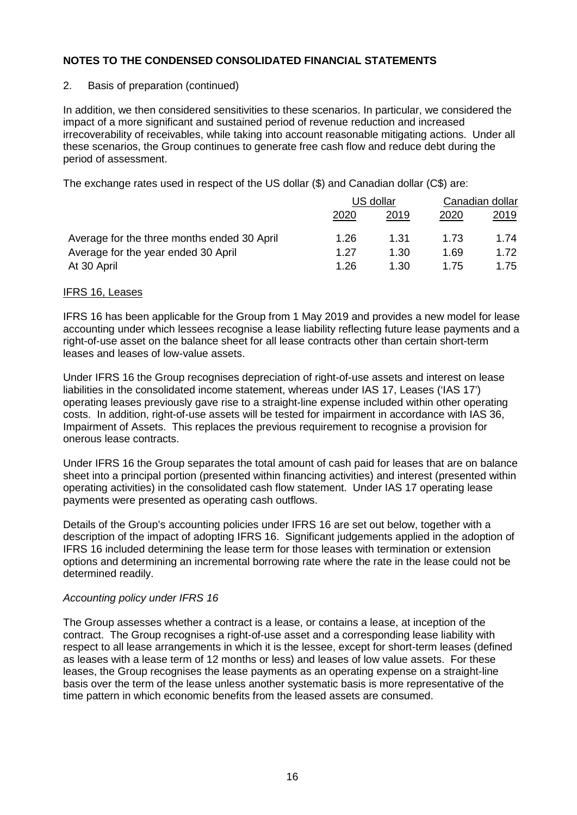### 2. Basis of preparation (continued)

In addition, we then considered sensitivities to these scenarios. In particular, we considered the impact of a more significant and sustained period of revenue reduction and increased irrecoverability of receivables, while taking into account reasonable mitigating actions. Under all these scenarios, the Group continues to generate free cash flow and reduce debt during the period of assessment.

The exchange rates used in respect of the US dollar (\$) and Canadian dollar (C\$) are:

|                                             | US dollar |      | Canadian dollar |      |
|---------------------------------------------|-----------|------|-----------------|------|
|                                             | 2020      | 2019 | 2020            | 2019 |
| Average for the three months ended 30 April | 1.26      | 1.31 | 1.73            | 1.74 |
| Average for the year ended 30 April         | 1.27      | 1.30 | 1.69            | 1.72 |
| At 30 April                                 | 1.26      | 1.30 | 1.75            | 1.75 |

#### IFRS 16, Leases

IFRS 16 has been applicable for the Group from 1 May 2019 and provides a new model for lease accounting under which lessees recognise a lease liability reflecting future lease payments and a right-of-use asset on the balance sheet for all lease contracts other than certain short-term leases and leases of low-value assets.

Under IFRS 16 the Group recognises depreciation of right-of-use assets and interest on lease liabilities in the consolidated income statement, whereas under IAS 17, Leases ('IAS 17') operating leases previously gave rise to a straight-line expense included within other operating costs. In addition, right-of-use assets will be tested for impairment in accordance with IAS 36, Impairment of Assets. This replaces the previous requirement to recognise a provision for onerous lease contracts.

Under IFRS 16 the Group separates the total amount of cash paid for leases that are on balance sheet into a principal portion (presented within financing activities) and interest (presented within operating activities) in the consolidated cash flow statement. Under IAS 17 operating lease payments were presented as operating cash outflows.

Details of the Group's accounting policies under IFRS 16 are set out below, together with a description of the impact of adopting IFRS 16. Significant judgements applied in the adoption of IFRS 16 included determining the lease term for those leases with termination or extension options and determining an incremental borrowing rate where the rate in the lease could not be determined readily.

#### *Accounting policy under IFRS 16*

The Group assesses whether a contract is a lease, or contains a lease, at inception of the contract. The Group recognises a right-of-use asset and a corresponding lease liability with respect to all lease arrangements in which it is the lessee, except for short-term leases (defined as leases with a lease term of 12 months or less) and leases of low value assets. For these leases, the Group recognises the lease payments as an operating expense on a straight-line basis over the term of the lease unless another systematic basis is more representative of the time pattern in which economic benefits from the leased assets are consumed.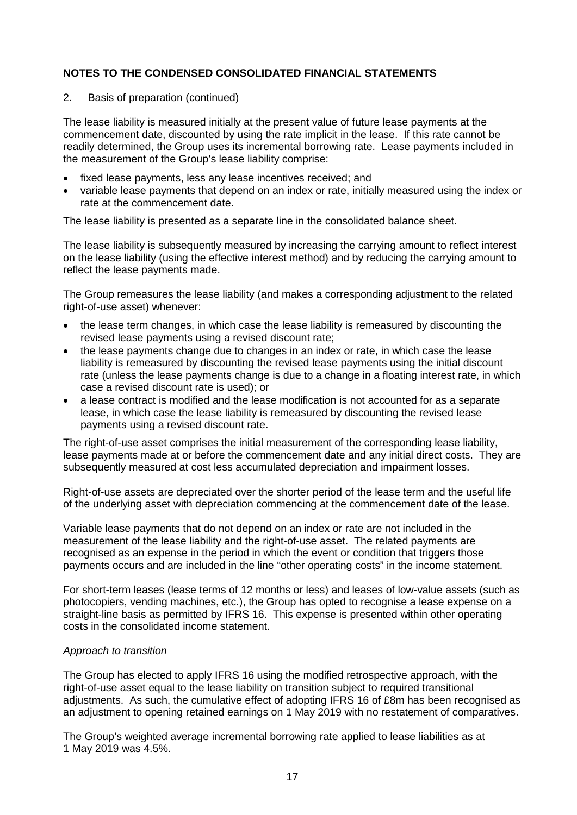2. Basis of preparation (continued)

The lease liability is measured initially at the present value of future lease payments at the commencement date, discounted by using the rate implicit in the lease. If this rate cannot be readily determined, the Group uses its incremental borrowing rate. Lease payments included in the measurement of the Group's lease liability comprise:

- fixed lease payments, less any lease incentives received; and
- variable lease payments that depend on an index or rate, initially measured using the index or rate at the commencement date.

The lease liability is presented as a separate line in the consolidated balance sheet.

The lease liability is subsequently measured by increasing the carrying amount to reflect interest on the lease liability (using the effective interest method) and by reducing the carrying amount to reflect the lease payments made.

The Group remeasures the lease liability (and makes a corresponding adjustment to the related right-of-use asset) whenever:

- the lease term changes, in which case the lease liability is remeasured by discounting the revised lease payments using a revised discount rate;
- the lease payments change due to changes in an index or rate, in which case the lease liability is remeasured by discounting the revised lease payments using the initial discount rate (unless the lease payments change is due to a change in a floating interest rate, in which case a revised discount rate is used); or
- a lease contract is modified and the lease modification is not accounted for as a separate lease, in which case the lease liability is remeasured by discounting the revised lease payments using a revised discount rate.

The right-of-use asset comprises the initial measurement of the corresponding lease liability, lease payments made at or before the commencement date and any initial direct costs. They are subsequently measured at cost less accumulated depreciation and impairment losses.

Right-of-use assets are depreciated over the shorter period of the lease term and the useful life of the underlying asset with depreciation commencing at the commencement date of the lease.

Variable lease payments that do not depend on an index or rate are not included in the measurement of the lease liability and the right-of-use asset. The related payments are recognised as an expense in the period in which the event or condition that triggers those payments occurs and are included in the line "other operating costs" in the income statement.

For short-term leases (lease terms of 12 months or less) and leases of low-value assets (such as photocopiers, vending machines, etc.), the Group has opted to recognise a lease expense on a straight-line basis as permitted by IFRS 16. This expense is presented within other operating costs in the consolidated income statement.

## *Approach to transition*

The Group has elected to apply IFRS 16 using the modified retrospective approach, with the right-of-use asset equal to the lease liability on transition subject to required transitional adjustments. As such, the cumulative effect of adopting IFRS 16 of £8m has been recognised as an adjustment to opening retained earnings on 1 May 2019 with no restatement of comparatives.

The Group's weighted average incremental borrowing rate applied to lease liabilities as at 1 May 2019 was 4.5%.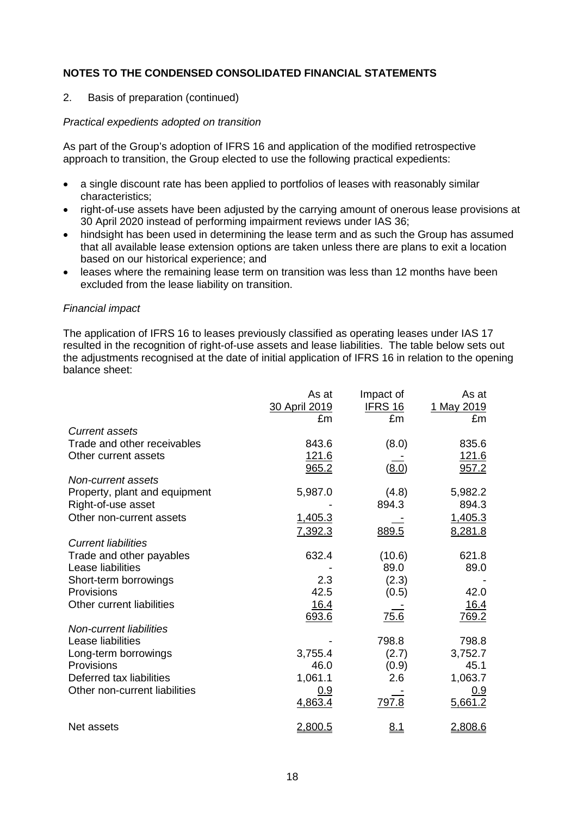2. Basis of preparation (continued)

#### *Practical expedients adopted on transition*

As part of the Group's adoption of IFRS 16 and application of the modified retrospective approach to transition, the Group elected to use the following practical expedients:

- a single discount rate has been applied to portfolios of leases with reasonably similar characteristics;
- right-of-use assets have been adjusted by the carrying amount of onerous lease provisions at 30 April 2020 instead of performing impairment reviews under IAS 36;
- hindsight has been used in determining the lease term and as such the Group has assumed that all available lease extension options are taken unless there are plans to exit a location based on our historical experience; and
- leases where the remaining lease term on transition was less than 12 months have been excluded from the lease liability on transition.

#### *Financial impact*

The application of IFRS 16 to leases previously classified as operating leases under IAS 17 resulted in the recognition of right-of-use assets and lease liabilities. The table below sets out the adjustments recognised at the date of initial application of IFRS 16 in relation to the opening balance sheet:

|                               | As at<br>30 April 2019 | Impact of<br><b>IFRS 16</b> | As at<br>1 May 2019 |
|-------------------------------|------------------------|-----------------------------|---------------------|
|                               | £m                     | £m                          | £m                  |
| <b>Current assets</b>         |                        |                             |                     |
| Trade and other receivables   | 843.6                  | (8.0)                       | 835.6               |
| Other current assets          | <u>121.6</u>           |                             | <u>121.6</u>        |
|                               | 965.2                  | (8.0)                       | 957.2               |
| Non-current assets            |                        |                             |                     |
| Property, plant and equipment | 5,987.0                | (4.8)                       | 5,982.2             |
| Right-of-use asset            |                        | 894.3                       | 894.3               |
| Other non-current assets      | 1,405.3                |                             | 1,405.3             |
|                               | 7,392.3                | 889.5                       | 8,281.8             |
| <b>Current liabilities</b>    |                        |                             |                     |
| Trade and other payables      | 632.4                  | (10.6)                      | 621.8               |
| Lease liabilities             |                        | 89.0                        | 89.0                |
|                               |                        |                             |                     |
| Short-term borrowings         | 2.3                    | (2.3)                       |                     |
| <b>Provisions</b>             | 42.5                   | (0.5)                       | 42.0                |
| Other current liabilities     | 16.4                   |                             | <u>16.4</u>         |
|                               | 693.6                  | 75.6                        | 769.2               |
| Non-current liabilities       |                        |                             |                     |
| Lease liabilities             |                        | 798.8                       | 798.8               |
| Long-term borrowings          | 3,755.4                | (2.7)                       | 3,752.7             |
| Provisions                    | 46.0                   | (0.9)                       | 45.1                |
| Deferred tax liabilities      | 1,061.1                | 2.6                         | 1,063.7             |
| Other non-current liabilities | 0.9                    |                             | 0.9                 |
|                               | 4,863.4                | 797.8                       | 5,661.2             |
| Net assets                    | 2,800.5                | 8.1                         | 2,808.6             |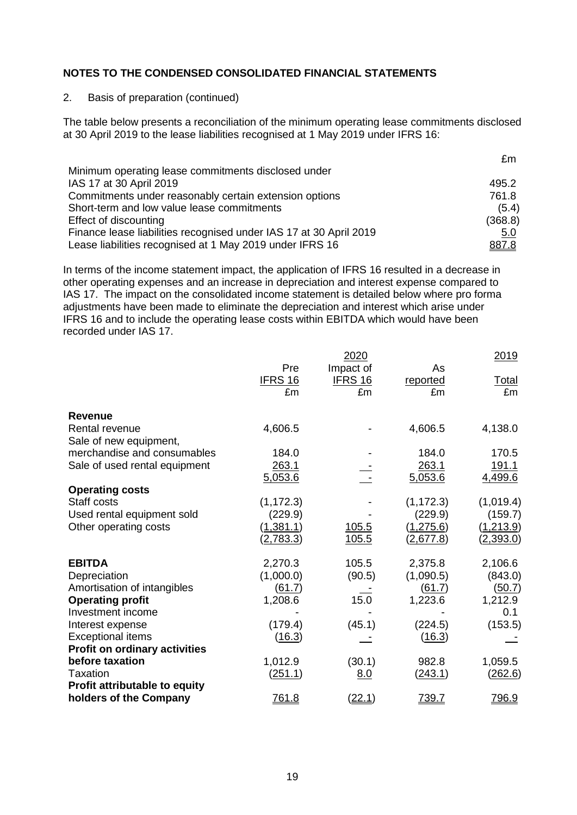#### 2. Basis of preparation (continued)

The table below presents a reconciliation of the minimum operating lease commitments disclosed at 30 April 2019 to the lease liabilities recognised at 1 May 2019 under IFRS 16:

 $\sim$ 

| ZIII.   |
|---------|
|         |
| 495.2   |
| 761.8   |
| (5.4)   |
| (368.8) |
| 5.0     |
| 887.8   |
|         |

In terms of the income statement impact, the application of IFRS 16 resulted in a decrease in other operating expenses and an increase in depreciation and interest expense compared to IAS 17. The impact on the consolidated income statement is detailed below where pro forma adjustments have been made to eliminate the depreciation and interest which arise under IFRS 16 and to include the operating lease costs within EBITDA which would have been recorded under IAS 17.

|                                      |                       | 2020                        |                  | 2019               |
|--------------------------------------|-----------------------|-----------------------------|------------------|--------------------|
|                                      | Pre<br><b>IFRS 16</b> | Impact of<br><b>IFRS 16</b> | As               |                    |
|                                      | £m                    | £m                          | reported<br>£m   | <u>Total</u><br>£m |
|                                      |                       |                             |                  |                    |
| <b>Revenue</b>                       |                       |                             |                  |                    |
| Rental revenue                       | 4,606.5               |                             | 4,606.5          | 4,138.0            |
| Sale of new equipment,               |                       |                             |                  |                    |
| merchandise and consumables          | 184.0                 |                             | 184.0            | 170.5              |
| Sale of used rental equipment        | 263.1                 |                             | 263.1            | 191.1              |
|                                      | 5,053.6               |                             | 5,053.6          | 4,499.6            |
| <b>Operating costs</b>               |                       |                             |                  |                    |
| Staff costs                          | (1, 172.3)            |                             | (1, 172.3)       | (1,019.4)          |
| Used rental equipment sold           | (229.9)               |                             | (229.9)          | (159.7)            |
| Other operating costs                | (1,381.1)             | 105.5                       | (1,275.6)        | (1,213.9)          |
|                                      | <u>(2,783.3)</u>      | 105.5                       | <u>(2,677.8)</u> | <u>(2,393.0)</u>   |
| <b>EBITDA</b>                        | 2,270.3               | 105.5                       | 2,375.8          | 2,106.6            |
| Depreciation                         | (1,000.0)             | (90.5)                      | (1,090.5)        | (843.0)            |
| Amortisation of intangibles          | (61.7)                |                             | (61.7)           | <u>(50.7)</u>      |
| <b>Operating profit</b>              | 1,208.6               | 15.0                        | 1,223.6          | 1,212.9            |
| Investment income                    |                       |                             |                  | 0.1                |
| Interest expense                     | (179.4)               | (45.1)                      | (224.5)          | (153.5)            |
| <b>Exceptional items</b>             | (16.3)                |                             | (16.3)           |                    |
| <b>Profit on ordinary activities</b> |                       |                             |                  |                    |
| before taxation                      | 1,012.9               | (30.1)                      | 982.8            | 1,059.5            |
| <b>Taxation</b>                      | <u>(251.1)</u>        | 8.0                         | (243.1)          | (262.6)            |
| Profit attributable to equity        |                       |                             |                  |                    |
| holders of the Company               | 761.8                 | (22.1)                      | <u>739.7</u>     | <u>796.9</u>       |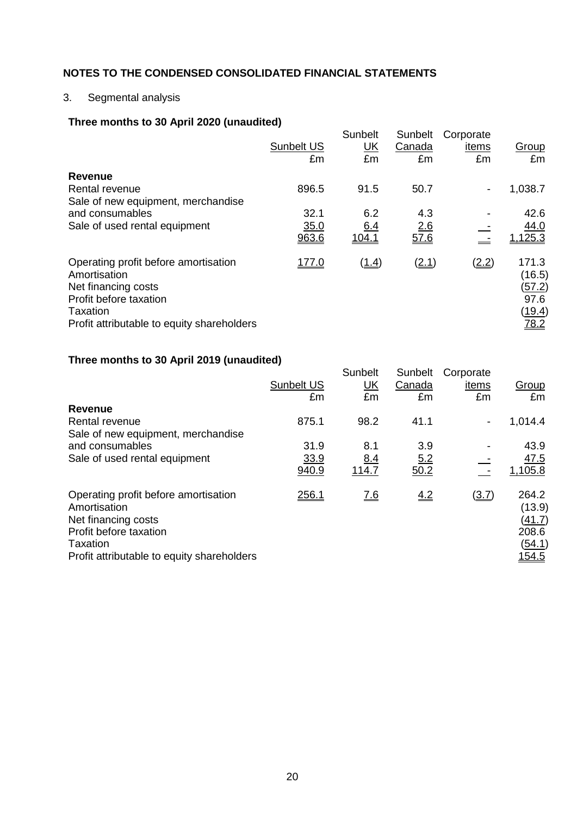# 3. Segmental analysis

# **Three months to 30 April 2020 (unaudited)**

|                                                                                                                                                                 | <b>Sunbelt US</b><br>£m | <b>Sunbelt</b><br><u>UK</u><br>£m | Sunbelt<br>Canada<br>£m | Corporate<br>items<br>£m | Group<br>£m                                                              |
|-----------------------------------------------------------------------------------------------------------------------------------------------------------------|-------------------------|-----------------------------------|-------------------------|--------------------------|--------------------------------------------------------------------------|
| <b>Revenue</b><br>Rental revenue<br>Sale of new equipment, merchandise                                                                                          | 896.5                   | 91.5                              | 50.7                    | $\overline{\phantom{a}}$ | 1,038.7                                                                  |
| and consumables<br>Sale of used rental equipment                                                                                                                | 32.1<br>35.0<br>963.6   | 6.2<br>6.4<br><u>104.1</u>        | 4.3<br>2.6<br>57.6      |                          | 42.6<br>44.0<br><u>125.3</u>                                             |
| Operating profit before amortisation<br>Amortisation<br>Net financing costs<br>Profit before taxation<br>Taxation<br>Profit attributable to equity shareholders | <u>177.0</u>            | (1.4)                             | (2.1)                   | (2.2)                    | 171.3<br>(16.5)<br><u>(57.2)</u><br>97.6<br><u>(19.4)</u><br><u>78.2</u> |

# **Three months to 30 April 2019 (unaudited)**

|                                                                                                                                                                 | <b>Sunbelt US</b><br>£m | Sunbelt<br><u>UK</u><br>£m | Sunbelt<br>Canada<br>£m | Corporate<br>items<br>£m | Group<br>£m                                                   |
|-----------------------------------------------------------------------------------------------------------------------------------------------------------------|-------------------------|----------------------------|-------------------------|--------------------------|---------------------------------------------------------------|
| <b>Revenue</b>                                                                                                                                                  |                         |                            |                         |                          |                                                               |
| Rental revenue                                                                                                                                                  | 875.1                   | 98.2                       | 41.1                    | $\overline{\phantom{a}}$ | 1,014.4                                                       |
| Sale of new equipment, merchandise<br>and consumables<br>Sale of used rental equipment                                                                          | 31.9<br>33.9<br>940.9   | 8.1<br>8.4<br>114.7        | 3.9<br>5.2<br>50.2      |                          | 43.9<br>47.5<br>1,105.8                                       |
| Operating profit before amortisation<br>Amortisation<br>Net financing costs<br>Profit before taxation<br>Taxation<br>Profit attributable to equity shareholders | <u>256.1</u>            | <u>7.6</u>                 | 4.2                     | $\underline{(3.7)}$      | 264.2<br>(13.9)<br>(41.7)<br>208.6<br>(54.1)<br><u> 154.5</u> |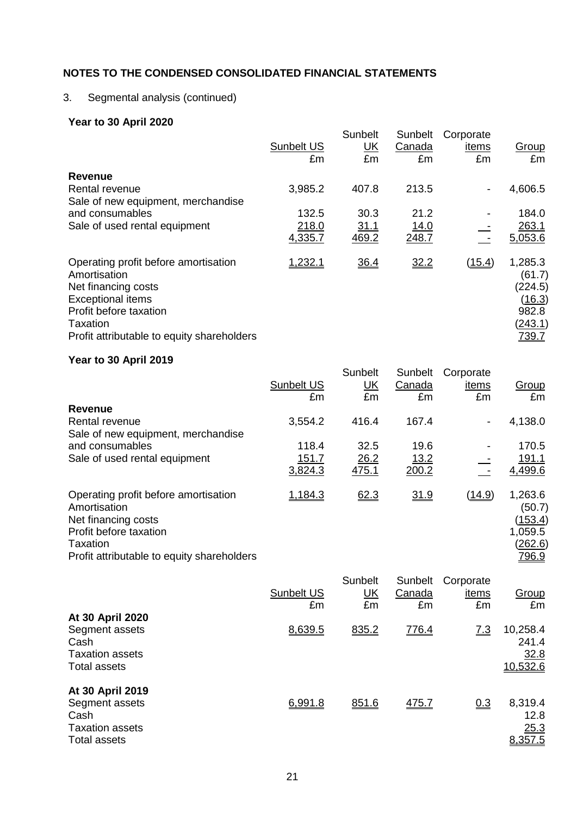# 3. Segmental analysis (continued)

# **Year to 30 April 2020**

|                                                                                                                                                                                                    | <b>Sunbelt US</b><br>£m | Sunbelt<br><u>UK</u><br>£m | Sunbelt<br>Canada<br>£m | Corporate<br>items<br>£m | Group<br>£m                                                                       |
|----------------------------------------------------------------------------------------------------------------------------------------------------------------------------------------------------|-------------------------|----------------------------|-------------------------|--------------------------|-----------------------------------------------------------------------------------|
| Revenue<br>Rental revenue<br>Sale of new equipment, merchandise                                                                                                                                    | 3,985.2                 | 407.8                      | 213.5                   | $\overline{\phantom{a}}$ | 4,606.5                                                                           |
| and consumables                                                                                                                                                                                    | 132.5                   | 30.3                       | 21.2                    |                          | 184.0                                                                             |
| Sale of used rental equipment                                                                                                                                                                      | 218.0<br>4,335.7        | <u>31.1</u><br>469.2       | 14.0<br>248.7           |                          | 263.1<br>5,053.6                                                                  |
| Operating profit before amortisation<br>Amortisation<br>Net financing costs<br><b>Exceptional items</b><br>Profit before taxation<br><b>Taxation</b><br>Profit attributable to equity shareholders | 1,232.1                 | 36.4                       | 32.2                    | <u>(15.4)</u>            | 1,285.3<br>(61.7)<br>(224.5)<br>(16.3)<br>982.8<br><u>(243.1)</u><br><u>739.7</u> |

# **Year to 30 April 2019**

|                                                                                                                                                                 |                   | Sunbelt   | Sunbelt     | Corporate                |                                                                           |
|-----------------------------------------------------------------------------------------------------------------------------------------------------------------|-------------------|-----------|-------------|--------------------------|---------------------------------------------------------------------------|
|                                                                                                                                                                 | <b>Sunbelt US</b> | <u>UK</u> | Canada      | items                    | <b>Group</b>                                                              |
|                                                                                                                                                                 | £m                | £m        | £m          | £m                       | £m                                                                        |
| <b>Revenue</b>                                                                                                                                                  |                   |           |             |                          |                                                                           |
| Rental revenue                                                                                                                                                  | 3,554.2           | 416.4     | 167.4       | $\overline{\phantom{a}}$ | 4,138.0                                                                   |
| Sale of new equipment, merchandise                                                                                                                              |                   |           |             |                          |                                                                           |
| and consumables                                                                                                                                                 | 118.4             | 32.5      | 19.6        |                          | 170.5                                                                     |
| Sale of used rental equipment                                                                                                                                   | 151.7             | 26.2      | <u>13.2</u> |                          | 191.1                                                                     |
|                                                                                                                                                                 | 3,824.3           | 475.1     | 200.2       |                          | 4,499.6                                                                   |
| Operating profit before amortisation<br>Amortisation<br>Net financing costs<br>Profit before taxation<br>Taxation<br>Profit attributable to equity shareholders | 1,184.3           | 62.3      | 31.9        | <u>(14.9)</u>            | 1,263.6<br>(50.7)<br>(153.4)<br>1,059.5<br><u>(262.6)</u><br><u>796.9</u> |

| At 30 April 2020                                                                            | Sunbelt US<br>£m | Sunbelt<br><u>UК</u><br>£m | Sunbelt<br>Canada<br>£m | Corporate<br>items<br>£m | Group<br>£m                           |
|---------------------------------------------------------------------------------------------|------------------|----------------------------|-------------------------|--------------------------|---------------------------------------|
| Segment assets<br>Cash<br><b>Taxation assets</b><br><b>Total assets</b>                     | 8.639.5          | 835.2                      | 776.4                   | $\underline{7.3}$        | 10,258.4<br>241.4<br>32.8<br>10,532.6 |
| At 30 April 2019<br>Segment assets<br>Cash<br><b>Taxation assets</b><br><b>Total assets</b> | 6,991.8          | 851.6                      | <u>475.7</u>            | 0.3                      | 8,319.4<br>12.8<br>25.3<br>8,357.5    |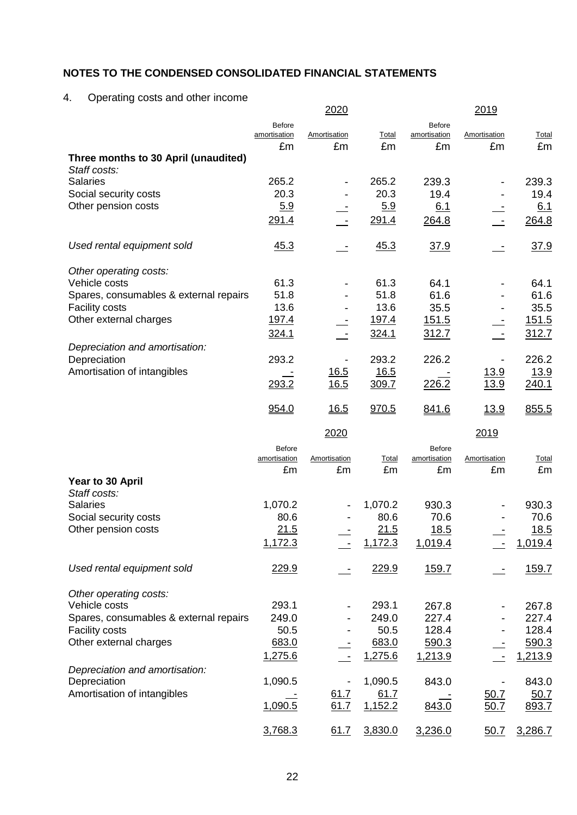# 4. Operating costs and other income

|                                        |                               | <u> 2020</u>       |              |                               | <u> 2019</u>       |                    |
|----------------------------------------|-------------------------------|--------------------|--------------|-------------------------------|--------------------|--------------------|
|                                        | Before                        |                    |              | Before                        |                    |                    |
|                                        | amortisation<br>£m            | Amortisation<br>£m | Total<br>£m  | amortisation<br>£m            | Amortisation<br>£m | <b>Total</b><br>£m |
| Three months to 30 April (unaudited)   |                               |                    |              |                               |                    |                    |
| Staff costs:                           |                               |                    |              |                               |                    |                    |
| <b>Salaries</b>                        | 265.2                         |                    | 265.2        | 239.3                         |                    | 239.3              |
| Social security costs                  | 20.3                          |                    | 20.3         | 19.4                          |                    | 19.4               |
| Other pension costs                    | 5.9                           |                    | 5.9          | 6.1                           |                    | 6.1                |
|                                        | 291.4                         |                    | 291.4        | 264.8                         |                    | 264.8              |
| Used rental equipment sold             | 45.3                          |                    | 45.3         | <u>37.9</u>                   |                    | 37.9               |
| Other operating costs:                 |                               |                    |              |                               |                    |                    |
| Vehicle costs                          | 61.3                          |                    | 61.3         | 64.1                          |                    | 64.1               |
| Spares, consumables & external repairs | 51.8                          |                    | 51.8         | 61.6                          |                    | 61.6               |
| <b>Facility costs</b>                  | 13.6                          |                    | 13.6         | 35.5                          |                    | 35.5               |
| Other external charges                 | 197.4                         |                    | <u>197.4</u> | <u>151.5</u>                  |                    | 151.5              |
|                                        | 324.1                         |                    | 324.1        |                               |                    |                    |
| Depreciation and amortisation:         |                               |                    |              | 312.7                         |                    | 312.7              |
| Depreciation                           | 293.2                         |                    | 293.2        | 226.2                         |                    | 226.2              |
| Amortisation of intangibles            |                               | <u>16.5</u>        | 16.5         |                               | <u>13.9</u>        | <u>13.9</u>        |
|                                        | 293.2                         | 16.5               | 309.7        | 226.2                         | 13.9               | 240.1              |
|                                        | 954.0                         | 16.5               | 970.5        | 841.6                         | 13.9               | 855.5              |
|                                        |                               | 2020               |              |                               | 2019               |                    |
|                                        |                               |                    |              |                               |                    |                    |
|                                        | <b>Before</b><br>amortisation | Amortisation       | Total        | <b>Before</b><br>amortisation | Amortisation       | <b>Total</b>       |
|                                        | £m                            | £m                 | £m           | £m                            | £m                 | £m                 |
| Year to 30 April                       |                               |                    |              |                               |                    |                    |
| Staff costs:                           |                               |                    |              |                               |                    |                    |
|                                        |                               |                    |              |                               |                    |                    |
| <b>Salaries</b>                        | 1,070.2                       |                    | 1,070.2      | 930.3                         |                    | 930.3              |
| Social security costs                  | 80.6                          |                    | 80.6         | 70.6                          |                    | 70.6               |
| Other pension costs                    | 21.5                          |                    | 21.5         | <u>18.5</u>                   |                    | 18.5               |
|                                        | 1,172.3                       |                    | 1,172.3      | 1,019.4                       |                    | 1,019.4            |
| Used rental equipment sold             | 229.9                         |                    | 229.9        | 159.7                         |                    | 159.7              |
|                                        |                               |                    |              |                               |                    |                    |
| Other operating costs:                 |                               |                    |              |                               |                    |                    |
| Vehicle costs                          | 293.1                         |                    | 293.1        | 267.8                         |                    | 267.8              |
| Spares, consumables & external repairs | 249.0                         |                    | 249.0        | 227.4                         |                    | 227.4              |
| Facility costs                         | 50.5                          |                    | 50.5         | 128.4                         |                    | 128.4              |
| Other external charges                 | 683.0                         |                    | 683.0        | 590.3                         |                    | 590.3              |
|                                        | 1,275.6                       |                    | 1,275.6      | 1,213.9                       |                    | 1,213.9            |
| Depreciation and amortisation:         |                               |                    |              |                               |                    |                    |
| Depreciation                           | 1,090.5                       |                    | 1,090.5      | 843.0                         |                    | 843.0              |
| Amortisation of intangibles            |                               | 61.7               | 61.7         |                               | <u>50.7</u>        | 50.7               |
|                                        | 1,090.5                       | 61.7               | 1,152.2      | 843.0                         | 50.7               | 893.7              |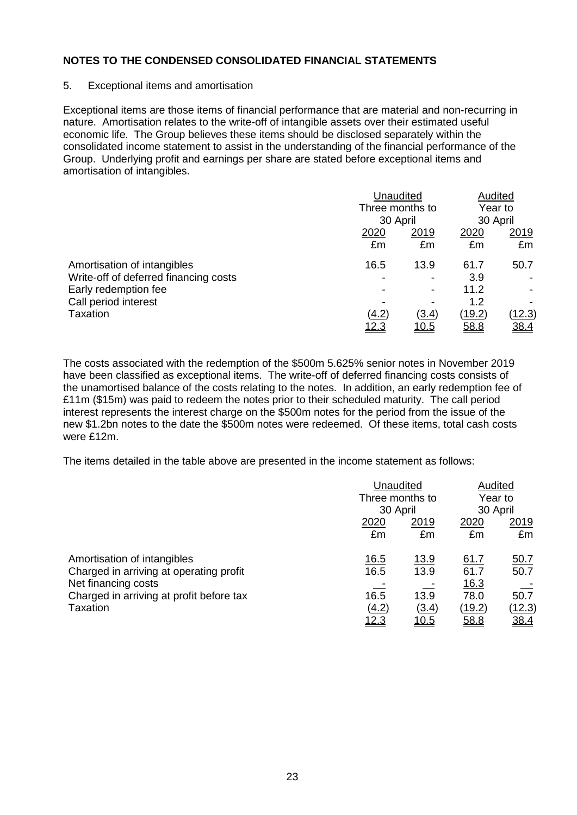#### 5. Exceptional items and amortisation

Exceptional items are those items of financial performance that are material and non-recurring in nature. Amortisation relates to the write-off of intangible assets over their estimated useful economic life. The Group believes these items should be disclosed separately within the consolidated income statement to assist in the understanding of the financial performance of the Group. Underlying profit and earnings per share are stated before exceptional items and amortisation of intangibles.

|                                       | Unaudited<br>Three months to<br>30 April |                          | Audited<br>Year to<br>30 April |               |
|---------------------------------------|------------------------------------------|--------------------------|--------------------------------|---------------|
|                                       |                                          |                          |                                |               |
|                                       | 2020                                     | 2019                     | 2020                           | 2019          |
|                                       | £m                                       | £m                       | £m                             | £m            |
| Amortisation of intangibles           | 16.5                                     | 13.9                     | 61.7                           | 50.7          |
| Write-off of deferred financing costs |                                          | $\overline{\phantom{a}}$ | 3.9                            |               |
| Early redemption fee                  |                                          | $\overline{\phantom{a}}$ | 11.2                           |               |
| Call period interest                  |                                          | $\overline{\phantom{0}}$ | 1.2                            |               |
| Taxation                              | (4.2)                                    | (3.4)                    | (19.2)                         | <u>(12.3)</u> |
|                                       | <u> 12.3</u>                             | <u> 10.5</u>             | 58.8                           | <u>38.4</u>   |

The costs associated with the redemption of the \$500m 5.625% senior notes in November 2019 have been classified as exceptional items. The write-off of deferred financing costs consists of the unamortised balance of the costs relating to the notes. In addition, an early redemption fee of £11m (\$15m) was paid to redeem the notes prior to their scheduled maturity. The call period interest represents the interest charge on the \$500m notes for the period from the issue of the new \$1.2bn notes to the date the \$500m notes were redeemed. Of these items, total cash costs were £12m.

The items detailed in the table above are presented in the income statement as follows:

|                                          |              | Unaudited                   |        | Audited     |
|------------------------------------------|--------------|-----------------------------|--------|-------------|
|                                          |              | Three months to<br>30 April |        | Year to     |
|                                          |              |                             |        | 30 April    |
|                                          | 2020         | 2019                        | 2020   | 2019        |
|                                          | £m           | £m                          | £m     | £m          |
| Amortisation of intangibles              | <u>16.5</u>  | <u>13.9</u>                 | 61.7   | <u>50.7</u> |
| Charged in arriving at operating profit  | 16.5         | 13.9                        | 61.7   | 50.7        |
| Net financing costs                      |              |                             | 16.3   |             |
| Charged in arriving at profit before tax | 16.5         | 13.9                        | 78.0   | 50.7        |
| Taxation                                 | (4.2)        | (3.4)                       | (19.2) | (12.3)      |
|                                          | <u> 12.3</u> | <u> 10.5</u>                | 58.8   | <u>38.4</u> |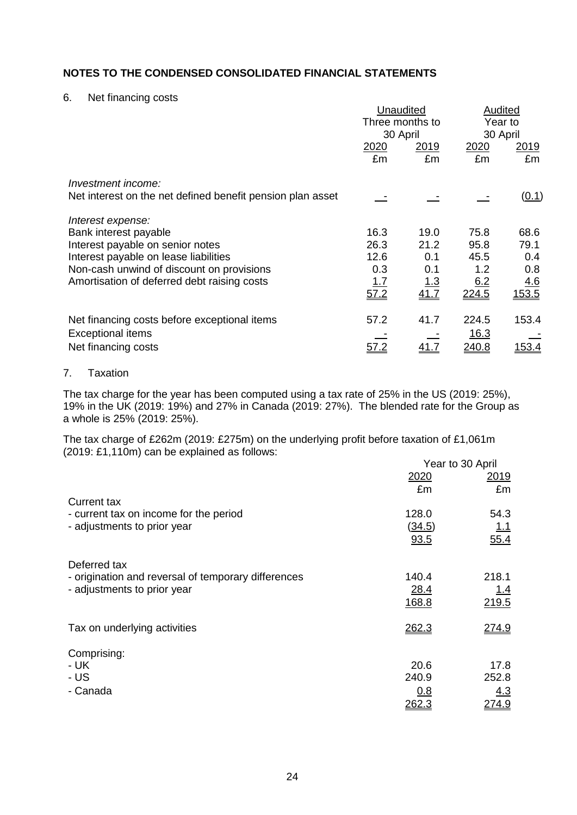#### 6. Net financing costs

|                                                            | Unaudited       |             | Audited       |               |
|------------------------------------------------------------|-----------------|-------------|---------------|---------------|
|                                                            | Three months to |             | Year to       |               |
|                                                            | 30 April        |             | 30 April      |               |
|                                                            | 2020            | 2019        | 2020          | <u> 2019</u>  |
|                                                            | £m              | £m          | £m            | £m            |
| Investment income:                                         |                 |             |               |               |
| Net interest on the net defined benefit pension plan asset |                 |             |               | (0.1)         |
| Interest expense:                                          |                 |             |               |               |
| Bank interest payable                                      | 16.3            | 19.0        | 75.8          | 68.6          |
| Interest payable on senior notes                           | 26.3            | 21.2        | 95.8          | 79.1          |
| Interest payable on lease liabilities                      | 12.6            | 0.1         | 45.5          | 0.4           |
| Non-cash unwind of discount on provisions                  | 0.3             | 0.1         | 1.2           | 0.8           |
| Amortisation of deferred debt raising costs                | <u> 1.7</u>     | <u> 1.3</u> | 6.2           | 4.6           |
|                                                            | 57.2            | 41.7        | 224.5         | <u>153.5</u>  |
| Net financing costs before exceptional items               | 57.2            | 41.7        | 224.5         | 153.4         |
| <b>Exceptional items</b>                                   |                 |             | 16.3          |               |
| Net financing costs                                        |                 |             |               | <u> 153.4</u> |
|                                                            | 57.2            |             | <u> 240.8</u> |               |

### 7. Taxation

The tax charge for the year has been computed using a tax rate of 25% in the US (2019: 25%), 19% in the UK (2019: 19%) and 27% in Canada (2019: 27%). The blended rate for the Group as a whole is 25% (2019: 25%).

The tax charge of £262m (2019: £275m) on the underlying profit before taxation of £1,061m (2019: £1,110m) can be explained as follows: Year to 30 April

|                                                                       |                 | rear to 30 April |
|-----------------------------------------------------------------------|-----------------|------------------|
|                                                                       | 2020            | 2019             |
|                                                                       | £m              | £m               |
| <b>Current tax</b>                                                    |                 |                  |
| - current tax on income for the period<br>- adjustments to prior year | 128.0<br>(34.5) | 54.3             |
|                                                                       | 93.5            | 1.1<br>55.4      |
|                                                                       |                 |                  |
| Deferred tax                                                          |                 |                  |
| - origination and reversal of temporary differences                   | 140.4           | 218.1            |
| - adjustments to prior year                                           | 28.4            | <u> 1.4</u>      |
|                                                                       | 168.8           | 219.5            |
|                                                                       |                 |                  |
| Tax on underlying activities                                          | 262.3           | 274.9            |
|                                                                       |                 |                  |
| Comprising:<br>- UK                                                   | 20.6            | 17.8             |
| - US                                                                  | 240.9           | 252.8            |
| - Canada                                                              | 0.8             | 4.3              |
|                                                                       | <u> 262.3</u>   | 274.9            |
|                                                                       |                 |                  |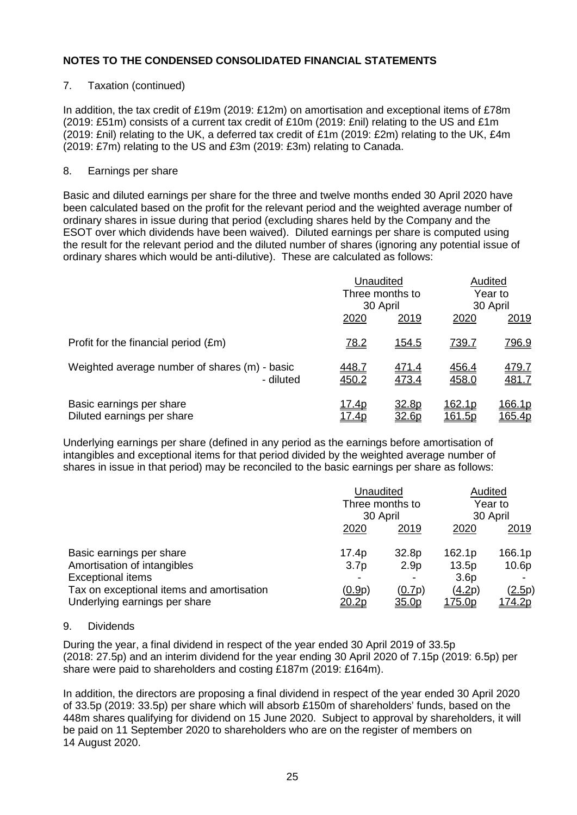### 7. Taxation (continued)

In addition, the tax credit of £19m (2019: £12m) on amortisation and exceptional items of £78m (2019: £51m) consists of a current tax credit of £10m (2019: £nil) relating to the US and £1m (2019: £nil) relating to the UK, a deferred tax credit of £1m (2019: £2m) relating to the UK,  $£4m$ (2019: £7m) relating to the US and £3m (2019: £3m) relating to Canada.

#### 8. Earnings per share

Basic and diluted earnings per share for the three and twelve months ended 30 April 2020 have been calculated based on the profit for the relevant period and the weighted average number of ordinary shares in issue during that period (excluding shares held by the Company and the ESOT over which dividends have been waived). Diluted earnings per share is computed using the result for the relevant period and the diluted number of shares (ignoring any potential issue of ordinary shares which would be anti-dilutive). These are calculated as follows:

|                                                            | Unaudited<br>Three months to |                       |                         | Audited<br>Year to      |
|------------------------------------------------------------|------------------------------|-----------------------|-------------------------|-------------------------|
|                                                            |                              | 30 April              |                         | 30 April                |
|                                                            | 2020                         | 2019                  | 2020                    | 2019                    |
| Profit for the financial period (£m)                       | 78.2                         | <u>154.5</u>          | <u>739.7</u>            | <u>796.9</u>            |
| Weighted average number of shares (m) - basic<br>- diluted | <u>448.7</u><br>450.2        | 471.4<br>473.4        | 456.4<br>458.0          | 479.7<br>481.7          |
| Basic earnings per share<br>Diluted earnings per share     | <u>17.4p</u><br><u>17.4p</u> | 32.8p<br><u>32.6p</u> | <u>162.1p</u><br>161.5p | <u>166.1p</u><br>165.4p |

Underlying earnings per share (defined in any period as the earnings before amortisation of intangibles and exceptional items for that period divided by the weighted average number of shares in issue in that period) may be reconciled to the basic earnings per share as follows:

|                                                                                                                                  |                                                                 | Unaudited<br>Three months to<br>30 April |                                               | Audited<br>Year to<br>30 April                |
|----------------------------------------------------------------------------------------------------------------------------------|-----------------------------------------------------------------|------------------------------------------|-----------------------------------------------|-----------------------------------------------|
|                                                                                                                                  | 2020                                                            | <u>2019</u>                              | 2020                                          | <u>2019</u>                                   |
| Basic earnings per share<br>Amortisation of intangibles<br><b>Exceptional items</b><br>Tax on exceptional items and amortisation | 17.4p<br>3.7 <sub>p</sub><br>$\overline{\phantom{0}}$<br>(0.9p) | 32.8p<br>2.9 <sub>p</sub><br>(0.7p)      | 162.1p<br>13.5p<br>3.6 <sub>p</sub><br>(4.2p) | 166.1p<br>10.6 <sub>p</sub><br><u>(2.5</u> p) |
| Underlying earnings per share                                                                                                    | 20.2p                                                           | 35.0p                                    | <u>175.0p</u>                                 | <u>174.2p</u>                                 |

#### 9. Dividends

During the year, a final dividend in respect of the year ended 30 April 2019 of 33.5p (2018: 27.5p) and an interim dividend for the year ending 30 April 2020 of 7.15p (2019: 6.5p) per share were paid to shareholders and costing £187m (2019: £164m).

In addition, the directors are proposing a final dividend in respect of the year ended 30 April 2020 of 33.5p (2019: 33.5p) per share which will absorb £150m of shareholders' funds, based on the 448m shares qualifying for dividend on 15 June 2020. Subject to approval by shareholders, it will be paid on 11 September 2020 to shareholders who are on the register of members on 14 August 2020.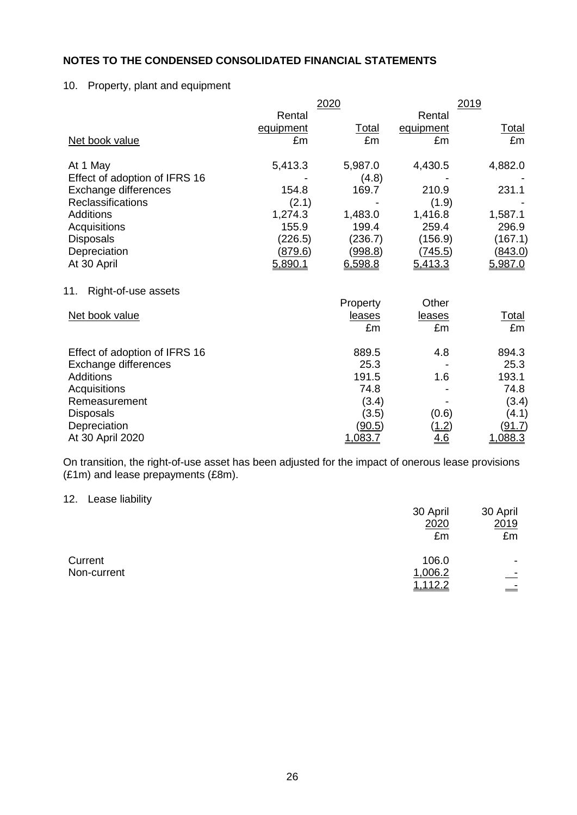## 10. Property, plant and equipment

|                               | 2020      | 2019         |            |               |
|-------------------------------|-----------|--------------|------------|---------------|
|                               | Rental    |              | Rental     |               |
|                               | equipment | <b>Total</b> | equipment  | <u>Total</u>  |
| Net book value                | £m        | £m           | £m         | £m            |
| At 1 May                      | 5,413.3   | 5,987.0      | 4,430.5    | 4,882.0       |
| Effect of adoption of IFRS 16 |           | (4.8)        |            |               |
| Exchange differences          | 154.8     | 169.7        | 210.9      | 231.1         |
| <b>Reclassifications</b>      | (2.1)     |              | (1.9)      |               |
| <b>Additions</b>              | 1,274.3   | 1,483.0      | 1,416.8    | 1,587.1       |
| Acquisitions                  | 155.9     | 199.4        | 259.4      | 296.9         |
| <b>Disposals</b>              | (226.5)   | (236.7)      | (156.9)    | (167.1)       |
| Depreciation                  | (879.6)   | (998.8)      | (745.5)    | (843.0)       |
| At 30 April                   | 5,890.1   | 6,598.8      | 5,413.3    | 5,987.0       |
| Right-of-use assets<br>11.    |           |              |            |               |
|                               |           | Property     | Other      |               |
| Net book value                |           | leases       | leases     | <u>Total</u>  |
|                               |           | £m           | £m         | £m            |
| Effect of adoption of IFRS 16 |           | 889.5        | 4.8        | 894.3         |
| Exchange differences          |           | 25.3         |            | 25.3          |
| <b>Additions</b>              |           | 191.5        | 1.6        | 193.1         |
| Acquisitions                  |           | 74.8         |            | 74.8          |
| Remeasurement                 |           | (3.4)        |            | (3.4)         |
| <b>Disposals</b>              |           | (3.5)        | (0.6)      | (4.1)         |
| Depreciation                  |           | (90.5)       | (1.2)      | <u>(91.7)</u> |
| At 30 April 2020              |           | 1,083.7      | <u>4.6</u> | 1,088.3       |

On transition, the right-of-use asset has been adjusted for the impact of onerous lease provisions (£1m) and lease prepayments (£8m).

#### 12. Lease liability

|             | 30 April | 30 April |
|-------------|----------|----------|
|             | 2020     | 2019     |
|             | £m       | £m       |
| Current     | 106.0    | -        |
| Non-current | 1,006.2  | $\equiv$ |
|             | 1,112.2  |          |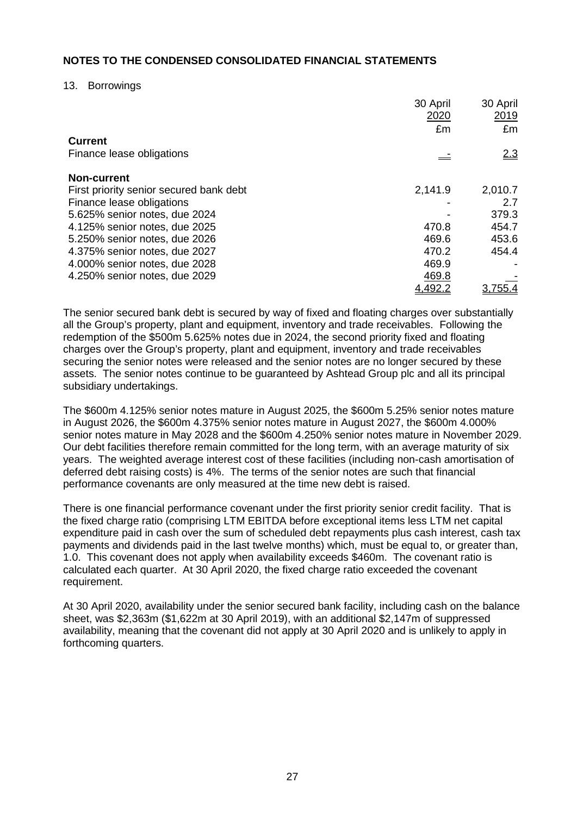#### 13. Borrowings

|                                         | 30 April<br>2020 | 30 April<br>2019 |
|-----------------------------------------|------------------|------------------|
|                                         | £m               | £m               |
| <b>Current</b>                          |                  |                  |
| Finance lease obligations               |                  | 2.3              |
| <b>Non-current</b>                      |                  |                  |
| First priority senior secured bank debt | 2,141.9          | 2,010.7          |
| Finance lease obligations               |                  | 2.7              |
| 5.625% senior notes, due 2024           |                  | 379.3            |
| 4.125% senior notes, due 2025           | 470.8            | 454.7            |
| 5.250% senior notes, due 2026           | 469.6            | 453.6            |
| 4.375% senior notes, due 2027           | 470.2            | 454.4            |
| 4.000% senior notes, due 2028           | 469.9            |                  |
| 4.250% senior notes, due 2029           | 469.8            |                  |
|                                         | 4.492.:          |                  |

The senior secured bank debt is secured by way of fixed and floating charges over substantially all the Group's property, plant and equipment, inventory and trade receivables. Following the redemption of the \$500m 5.625% notes due in 2024, the second priority fixed and floating charges over the Group's property, plant and equipment, inventory and trade receivables securing the senior notes were released and the senior notes are no longer secured by these assets. The senior notes continue to be guaranteed by Ashtead Group plc and all its principal subsidiary undertakings.

The \$600m 4.125% senior notes mature in August 2025, the \$600m 5.25% senior notes mature in August 2026, the \$600m 4.375% senior notes mature in August 2027, the \$600m 4.000% senior notes mature in May 2028 and the \$600m 4.250% senior notes mature in November 2029. Our debt facilities therefore remain committed for the long term, with an average maturity of six years. The weighted average interest cost of these facilities (including non-cash amortisation of deferred debt raising costs) is 4%. The terms of the senior notes are such that financial performance covenants are only measured at the time new debt is raised.

There is one financial performance covenant under the first priority senior credit facility. That is the fixed charge ratio (comprising LTM EBITDA before exceptional items less LTM net capital expenditure paid in cash over the sum of scheduled debt repayments plus cash interest, cash tax payments and dividends paid in the last twelve months) which, must be equal to, or greater than, 1.0. This covenant does not apply when availability exceeds \$460m. The covenant ratio is calculated each quarter. At 30 April 2020, the fixed charge ratio exceeded the covenant requirement.

At 30 April 2020, availability under the senior secured bank facility, including cash on the balance sheet, was \$2,363m (\$1,622m at 30 April 2019), with an additional \$2,147m of suppressed availability, meaning that the covenant did not apply at 30 April 2020 and is unlikely to apply in forthcoming quarters.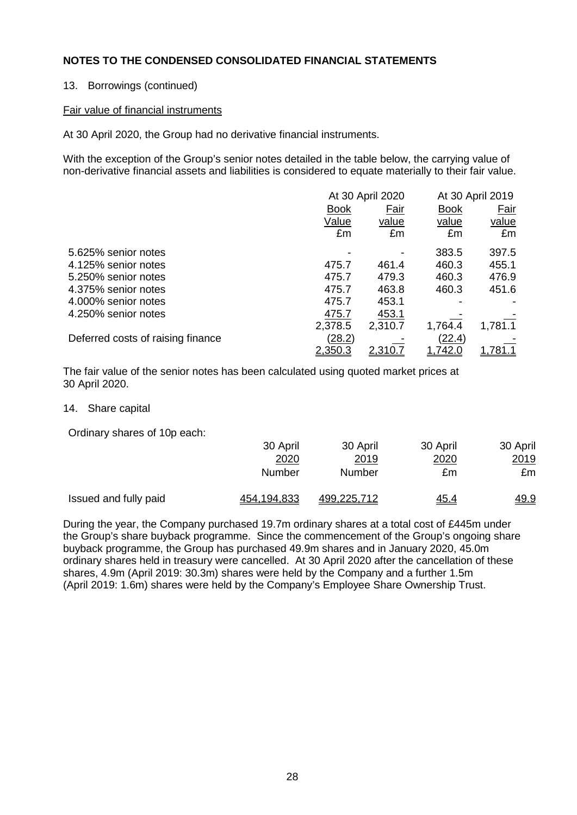## 13. Borrowings (continued)

#### Fair value of financial instruments

At 30 April 2020, the Group had no derivative financial instruments.

With the exception of the Group's senior notes detailed in the table below, the carrying value of non-derivative financial assets and liabilities is considered to equate materially to their fair value.

|                                   |               | At 30 April 2020 |               | At 30 April 2019 |  |
|-----------------------------------|---------------|------------------|---------------|------------------|--|
|                                   | <b>Book</b>   | Fair             | <b>Book</b>   | Fair             |  |
|                                   | Value         | value            | value         | value            |  |
|                                   | £m            | £m               | £m            | £m               |  |
| 5.625% senior notes               |               |                  | 383.5         | 397.5            |  |
| 4.125% senior notes               | 475.7         | 461.4            | 460.3         | 455.1            |  |
| 5.250% senior notes               | 475.7         | 479.3            | 460.3         | 476.9            |  |
| 4.375% senior notes               | 475.7         | 463.8            | 460.3         | 451.6            |  |
| 4.000% senior notes               | 475.7         | 453.1            |               |                  |  |
| 4.250% senior notes               | 475.7         | 453.1            |               |                  |  |
|                                   | 2,378.5       | 2,310.7          | 1,764.4       | 1,781.1          |  |
| Deferred costs of raising finance | <u>(28.2)</u> |                  | <u>(22.4)</u> |                  |  |
|                                   | 2,350.3       | <u>2,310.7</u>   | 1,742.0       | 1.781.1          |  |

The fair value of the senior notes has been calculated using quoted market prices at 30 April 2020.

14. Share capital

Ordinary shares of 10p each:

|                       | 30 April    | 30 April    | 30 April    | 30 April    |
|-----------------------|-------------|-------------|-------------|-------------|
|                       | 2020        | 2019        | 2020        | <u>2019</u> |
|                       | Number      | Number      | £m          | £m          |
| Issued and fully paid | 454,194,833 | 499,225,712 | <u>45.4</u> | <u>49.9</u> |

During the year, the Company purchased 19.7m ordinary shares at a total cost of £445m under the Group's share buyback programme. Since the commencement of the Group's ongoing share buyback programme, the Group has purchased 49.9m shares and in January 2020, 45.0m ordinary shares held in treasury were cancelled. At 30 April 2020 after the cancellation of these shares, 4.9m (April 2019: 30.3m) shares were held by the Company and a further 1.5m (April 2019: 1.6m) shares were held by the Company's Employee Share Ownership Trust.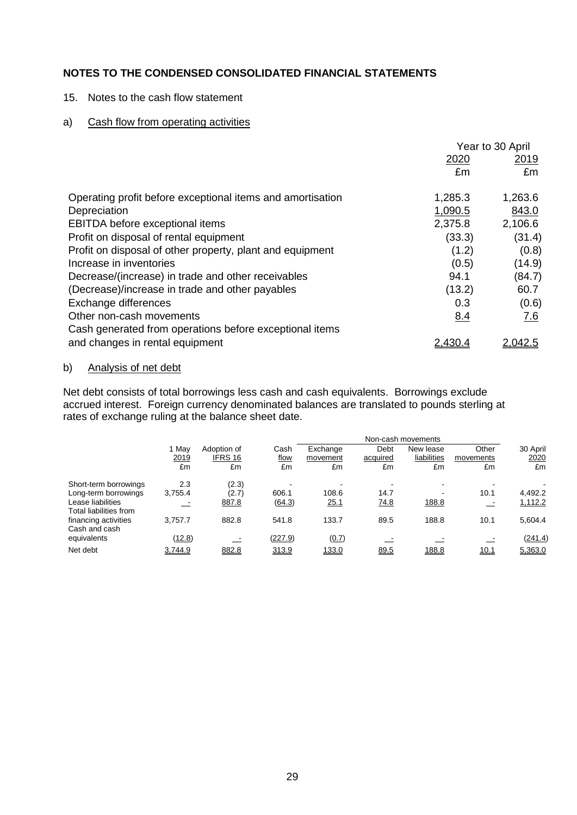#### 15. Notes to the cash flow statement

## a) Cash flow from operating activities

|                                                            | 2020       | Year to 30 April<br>2019 |
|------------------------------------------------------------|------------|--------------------------|
|                                                            | £m         | £m                       |
| Operating profit before exceptional items and amortisation | 1,285.3    | 1,263.6                  |
| Depreciation                                               | 1,090.5    | 843.0                    |
| EBITDA before exceptional items                            | 2,375.8    | 2,106.6                  |
| Profit on disposal of rental equipment                     | (33.3)     | (31.4)                   |
| Profit on disposal of other property, plant and equipment  | (1.2)      | (0.8)                    |
| Increase in inventories                                    | (0.5)      | (14.9)                   |
| Decrease/(increase) in trade and other receivables         | 94.1       | (84.7)                   |
| (Decrease)/increase in trade and other payables            | (13.2)     | 60.7                     |
| Exchange differences                                       | 0.3        | (0.6)                    |
| Other non-cash movements                                   | <u>8.4</u> | 7.6                      |
| Cash generated from operations before exceptional items    |            |                          |
| and changes in rental equipment                            |            | .042.5                   |

## b) Analysis of net debt

Net debt consists of total borrowings less cash and cash equivalents. Borrowings exclude accrued interest. Foreign currency denominated balances are translated to pounds sterling at rates of exchange ruling at the balance sheet date.

|                                             |         |             |             |          |          | Non-cash movements |           |          |
|---------------------------------------------|---------|-------------|-------------|----------|----------|--------------------|-----------|----------|
|                                             | 1 May   | Adoption of | Cash        | Exchange | Debt     | New lease          | Other     | 30 April |
|                                             | 2019    | IFRS 16     | <u>flow</u> | movement | acquired | liabilities        | movements | 2020     |
|                                             | £m      | £m          | £m          | £m       | £m       | £m                 | £m        | £m       |
| Short-term borrowings                       | 2.3     | (2.3)       |             |          |          | -                  |           |          |
| Long-term borrowings                        | 3,755.4 | (2.7)       | 606.1       | 108.6    | 14.7     | $\sim$             | 10.1      | 4,492.2  |
| Lease liabilities<br>Total liabilities from |         | 887.8       | (64.3)      | 25.1     | 74.8     | 188.8              |           | 1,112.2  |
| financing activities<br>Cash and cash       | 3.757.7 | 882.8       | 541.8       | 133.7    | 89.5     | 188.8              | 10.1      | 5,604.4  |
| equivalents                                 | (12.8)  |             | (227.9)     | (0.7)    |          |                    |           | (241.4)  |
| Net debt                                    | 3.744.9 | 882.8       | 313.9       | 133.0    | 89.5     | 188.8              | 10.1      | 5,363.0  |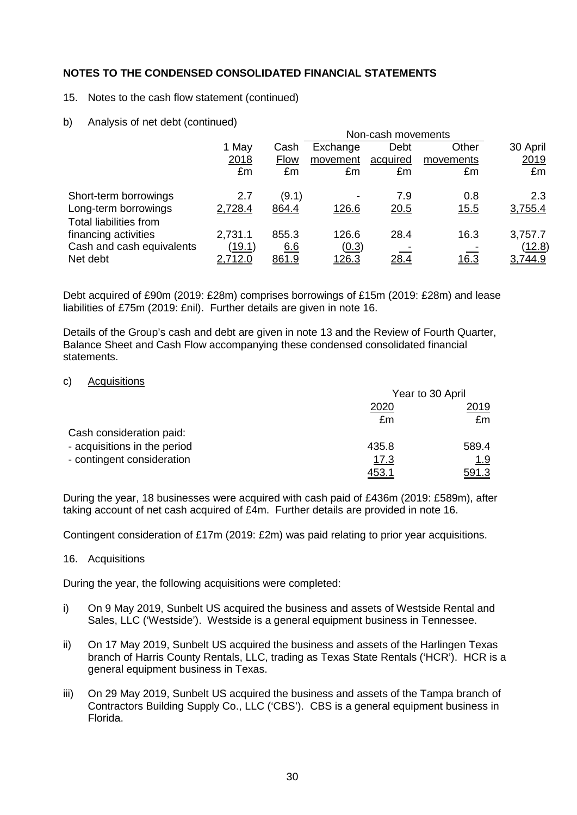#### 15. Notes to the cash flow statement (continued)

b) Analysis of net debt (continued)

|                                                       |               |             |                          | Non-cash movements |             |               |
|-------------------------------------------------------|---------------|-------------|--------------------------|--------------------|-------------|---------------|
|                                                       | 1 May         | Cash        | Exchange                 | Debt               | Other       | 30 April      |
|                                                       | 2018          | <b>Flow</b> | movement                 | acquired           | movements   | 2019          |
|                                                       | £m            | £m          | £m                       | £m                 | £m          | £m            |
| Short-term borrowings                                 | 2.7           | (9.1)       | $\overline{\phantom{0}}$ | 7.9                | 0.8         | 2.3           |
| Long-term borrowings<br><b>Total liabilities from</b> | 2,728.4       | 864.4       | 126.6                    | 20.5               | <u>15.5</u> | 3,755.4       |
| financing activities                                  | 2,731.1       | 855.3       | 126.6                    | 28.4               | 16.3        | 3,757.7       |
| Cash and cash equivalents                             | <u>(19.1)</u> | 6.6         | (0.3)                    |                    |             | <u>(12.8)</u> |
| Net debt                                              | 2,712.0       | 861.9       | <u>126.3</u>             | 28.4               | <u>16.3</u> | 3,744.9       |

Debt acquired of £90m (2019: £28m) comprises borrowings of £15m (2019: £28m) and lease liabilities of £75m (2019: £nil). Further details are given in note 16.

Details of the Group's cash and debt are given in note 13 and the Review of Fourth Quarter, Balance Sheet and Cash Flow accompanying these condensed consolidated financial statements.

#### c) Acquisitions

|                              | Year to 30 April |       |  |
|------------------------------|------------------|-------|--|
|                              | 2020             | 2019  |  |
|                              | £m               | £m    |  |
| Cash consideration paid:     |                  |       |  |
| - acquisitions in the period | 435.8            | 589.4 |  |
| - contingent consideration   | 17.3             | 1.9   |  |
|                              | 453              | 591.3 |  |

During the year, 18 businesses were acquired with cash paid of £436m (2019: £589m), after taking account of net cash acquired of £4m. Further details are provided in note 16.

Contingent consideration of £17m (2019: £2m) was paid relating to prior year acquisitions.

#### 16. Acquisitions

During the year, the following acquisitions were completed:

- i) On 9 May 2019, Sunbelt US acquired the business and assets of Westside Rental and Sales, LLC ('Westside'). Westside is a general equipment business in Tennessee.
- ii) On 17 May 2019, Sunbelt US acquired the business and assets of the Harlingen Texas branch of Harris County Rentals, LLC, trading as Texas State Rentals ('HCR'). HCR is a general equipment business in Texas.
- iii) On 29 May 2019, Sunbelt US acquired the business and assets of the Tampa branch of Contractors Building Supply Co., LLC ('CBS'). CBS is a general equipment business in Florida.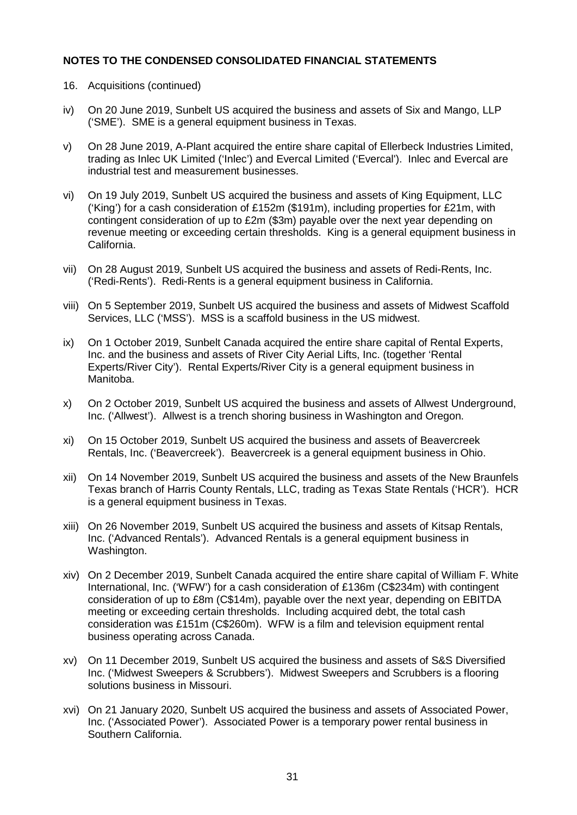- 16. Acquisitions (continued)
- iv) On 20 June 2019, Sunbelt US acquired the business and assets of Six and Mango, LLP ('SME'). SME is a general equipment business in Texas.
- v) On 28 June 2019, A-Plant acquired the entire share capital of Ellerbeck Industries Limited, trading as Inlec UK Limited ('Inlec') and Evercal Limited ('Evercal'). Inlec and Evercal are industrial test and measurement businesses.
- vi) On 19 July 2019, Sunbelt US acquired the business and assets of King Equipment, LLC ('King') for a cash consideration of £152m (\$191m), including properties for £21m, with contingent consideration of up to £2m (\$3m) payable over the next year depending on revenue meeting or exceeding certain thresholds. King is a general equipment business in California.
- vii) On 28 August 2019, Sunbelt US acquired the business and assets of Redi-Rents, Inc. ('Redi-Rents'). Redi-Rents is a general equipment business in California.
- viii) On 5 September 2019, Sunbelt US acquired the business and assets of Midwest Scaffold Services, LLC ('MSS'). MSS is a scaffold business in the US midwest.
- ix) On 1 October 2019, Sunbelt Canada acquired the entire share capital of Rental Experts, Inc. and the business and assets of River City Aerial Lifts, Inc. (together 'Rental Experts/River City'). Rental Experts/River City is a general equipment business in Manitoba.
- x) On 2 October 2019, Sunbelt US acquired the business and assets of Allwest Underground, Inc. ('Allwest'). Allwest is a trench shoring business in Washington and Oregon.
- xi) On 15 October 2019, Sunbelt US acquired the business and assets of Beavercreek Rentals, Inc. ('Beavercreek'). Beavercreek is a general equipment business in Ohio.
- xii) On 14 November 2019, Sunbelt US acquired the business and assets of the New Braunfels Texas branch of Harris County Rentals, LLC, trading as Texas State Rentals ('HCR'). HCR is a general equipment business in Texas.
- xiii) On 26 November 2019, Sunbelt US acquired the business and assets of Kitsap Rentals, Inc. ('Advanced Rentals'). Advanced Rentals is a general equipment business in Washington.
- xiv) On 2 December 2019, Sunbelt Canada acquired the entire share capital of William F. White International, Inc. ('WFW') for a cash consideration of £136m (C\$234m) with contingent consideration of up to £8m (C\$14m), payable over the next year, depending on EBITDA meeting or exceeding certain thresholds. Including acquired debt, the total cash consideration was £151m (C\$260m). WFW is a film and television equipment rental business operating across Canada.
- xv) On 11 December 2019, Sunbelt US acquired the business and assets of S&S Diversified Inc. ('Midwest Sweepers & Scrubbers'). Midwest Sweepers and Scrubbers is a flooring solutions business in Missouri.
- xvi) On 21 January 2020, Sunbelt US acquired the business and assets of Associated Power, Inc. ('Associated Power'). Associated Power is a temporary power rental business in Southern California.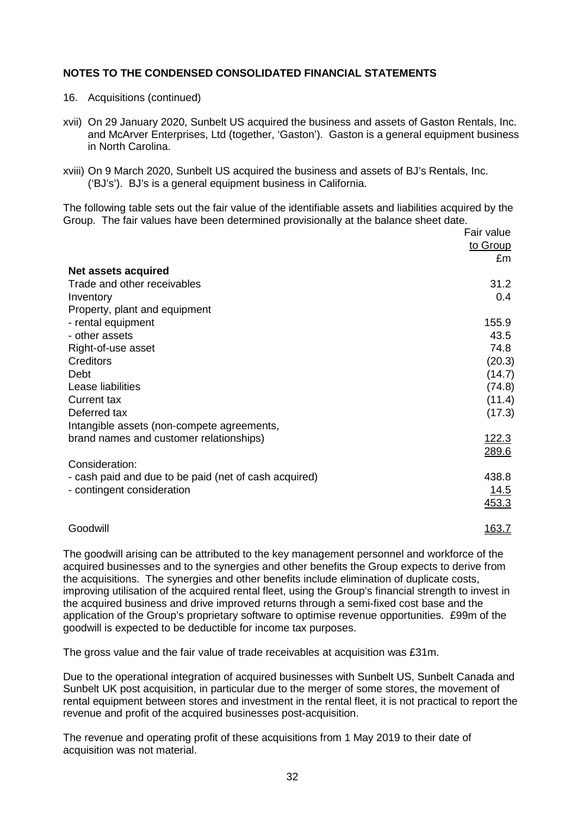- 16. Acquisitions (continued)
- xvii) On 29 January 2020, Sunbelt US acquired the business and assets of Gaston Rentals, Inc. and McArver Enterprises, Ltd (together, 'Gaston'). Gaston is a general equipment business in North Carolina.
- xviii) On 9 March 2020, Sunbelt US acquired the business and assets of BJ's Rentals, Inc. ('BJ's'). BJ's is a general equipment business in California.

The following table sets out the fair value of the identifiable assets and liabilities acquired by the Group. The fair values have been determined provisionally at the balance sheet date.

|                                                       | Fair value<br>to Group<br>£m |
|-------------------------------------------------------|------------------------------|
| <b>Net assets acquired</b>                            |                              |
| Trade and other receivables                           | 31.2                         |
| Inventory                                             | 0.4                          |
| Property, plant and equipment                         |                              |
| - rental equipment                                    | 155.9                        |
| - other assets                                        | 43.5                         |
| Right-of-use asset                                    | 74.8                         |
| <b>Creditors</b>                                      | (20.3)                       |
| Debt                                                  | (14.7)                       |
| Lease liabilities                                     | (74.8)                       |
| <b>Current tax</b>                                    | (11.4)                       |
| Deferred tax                                          | (17.3)                       |
| Intangible assets (non-compete agreements,            |                              |
| brand names and customer relationships)               | <u>122.3</u>                 |
|                                                       | 289.6                        |
| Consideration:                                        |                              |
| - cash paid and due to be paid (net of cash acquired) | 438.8                        |
| - contingent consideration                            | <u> 14.5</u>                 |
|                                                       | 453.3                        |
| Goodwill                                              | <u> 163.7</u>                |

The goodwill arising can be attributed to the key management personnel and workforce of the acquired businesses and to the synergies and other benefits the Group expects to derive from the acquisitions. The synergies and other benefits include elimination of duplicate costs, improving utilisation of the acquired rental fleet, using the Group's financial strength to invest in the acquired business and drive improved returns through a semi-fixed cost base and the application of the Group's proprietary software to optimise revenue opportunities. £99m of the goodwill is expected to be deductible for income tax purposes.

The gross value and the fair value of trade receivables at acquisition was £31m.

Due to the operational integration of acquired businesses with Sunbelt US, Sunbelt Canada and Sunbelt UK post acquisition, in particular due to the merger of some stores, the movement of rental equipment between stores and investment in the rental fleet, it is not practical to report the revenue and profit of the acquired businesses post-acquisition.

The revenue and operating profit of these acquisitions from 1 May 2019 to their date of acquisition was not material.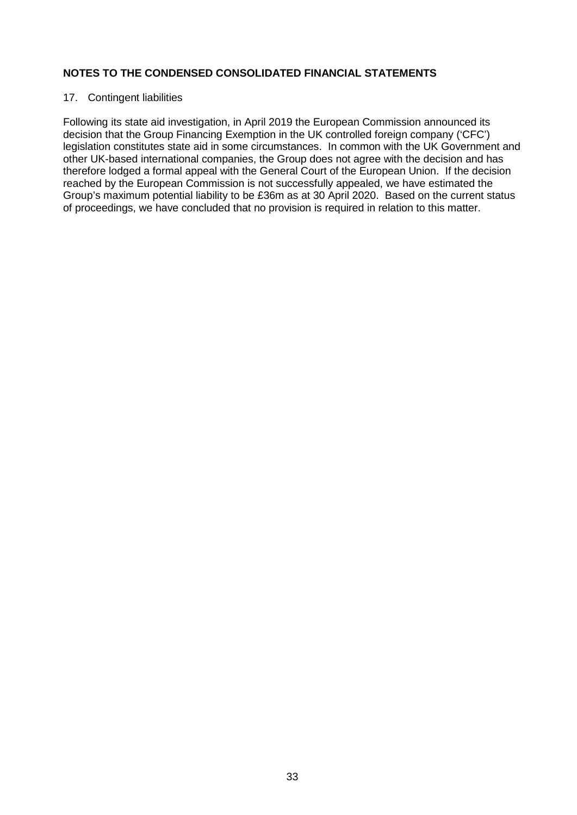#### 17. Contingent liabilities

Following its state aid investigation, in April 2019 the European Commission announced its decision that the Group Financing Exemption in the UK controlled foreign company ('CFC') legislation constitutes state aid in some circumstances. In common with the UK Government and other UK-based international companies, the Group does not agree with the decision and has therefore lodged a formal appeal with the General Court of the European Union. If the decision reached by the European Commission is not successfully appealed, we have estimated the Group's maximum potential liability to be £36m as at 30 April 2020. Based on the current status of proceedings, we have concluded that no provision is required in relation to this matter.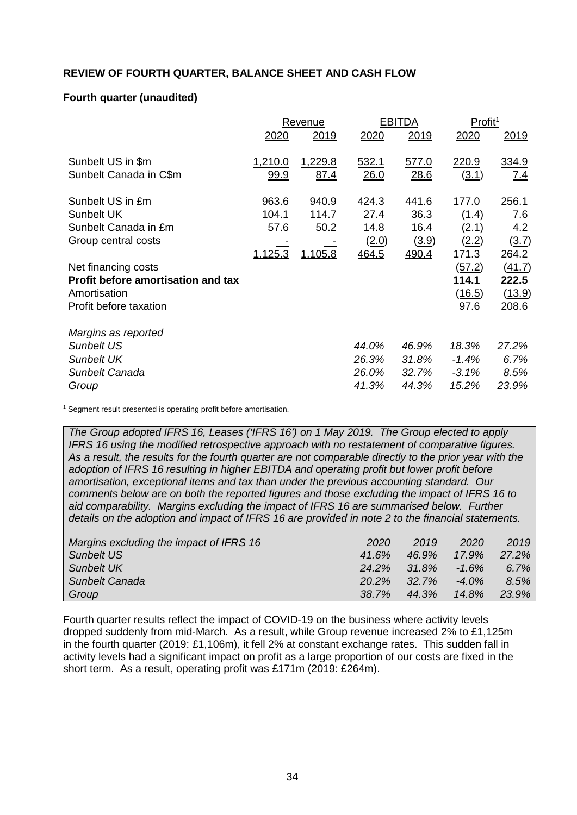## **REVIEW OF FOURTH QUARTER, BALANCE SHEET AND CASH FLOW**

# **Fourth quarter (unaudited)**

|                                    |                | Revenue |       | <b>EBITDA</b> |               | Profit <sup>1</sup> |
|------------------------------------|----------------|---------|-------|---------------|---------------|---------------------|
|                                    | <u>2020</u>    | 2019    | 2020  | 2019          | 2020          | 2019                |
| Sunbelt US in \$m                  | <u>1,210.0</u> | 1,229.8 | 532.1 | 577.0         | 220.9         | 334.9               |
| Sunbelt Canada in C\$m             | <u>99.9</u>    | 87.4    | 26.0  | 28.6          | <u>(3.1)</u>  | 7.4                 |
| Sunbelt US in £m                   | 963.6          | 940.9   | 424.3 | 441.6         | 177.0         | 256.1               |
| Sunbelt UK                         | 104.1          | 114.7   | 27.4  | 36.3          | (1.4)         | 7.6                 |
| Sunbelt Canada in £m               | 57.6           | 50.2    | 14.8  | 16.4          | (2.1)         | 4.2                 |
| Group central costs                |                |         | (2.0) | (3.9)         | (2.2)         | (3.7)               |
|                                    | 1,125.3        | 1,105.8 | 464.5 | 490.4         | 171.3         | 264.2               |
| Net financing costs                |                |         |       |               | (57.2)        | (41.7)              |
| Profit before amortisation and tax |                |         |       |               | 114.1         | 222.5               |
| Amortisation                       |                |         |       |               | <u>(16.5)</u> | (13.9)              |
| Profit before taxation             |                |         |       |               | 97.6          | 208.6               |
| Margins as reported                |                |         |       |               |               |                     |
| Sunbelt US                         |                |         | 44.0% | 46.9%         | 18.3%         | 27.2%               |
| <b>Sunbelt UK</b>                  |                |         | 26.3% | 31.8%         | $-1.4%$       | 6.7%                |
| Sunbelt Canada                     |                |         | 26.0% | 32.7%         | $-3.1%$       | 8.5%                |
| Group                              |                |         | 41.3% | 44.3%         | 15.2%         | 23.9%               |

<sup>1</sup> Segment result presented is operating profit before amortisation.

*The Group adopted IFRS 16, Leases ('IFRS 16') on 1 May 2019. The Group elected to apply IFRS 16 using the modified retrospective approach with no restatement of comparative figures. As a result, the results for the fourth quarter are not comparable directly to the prior year with the adoption of IFRS 16 resulting in higher EBITDA and operating profit but lower profit before amortisation, exceptional items and tax than under the previous accounting standard. Our comments below are on both the reported figures and those excluding the impact of IFRS 16 to aid comparability. Margins excluding the impact of IFRS 16 are summarised below. Further details on the adoption and impact of IFRS 16 are provided in note 2 to the financial statements.*

| Margins excluding the impact of IFRS 16 | 2020     | 2019     | 2020     | 2019    |
|-----------------------------------------|----------|----------|----------|---------|
| Sunbelt US                              | 41.6%    | 46.9%    | $17.9\%$ | 27.2%   |
| <b>Sunbelt UK</b>                       | 24.2%    | 31.8%    | $-1.6\%$ | $6.7\%$ |
| Sunbelt Canada                          | $20.2\%$ | $32.7\%$ | $-4.0\%$ | 8.5%    |
| Group                                   | 38.7%    | 44.3%    | 14.8%    | 23.9%   |

Fourth quarter results reflect the impact of COVID-19 on the business where activity levels dropped suddenly from mid-March. As a result, while Group revenue increased 2% to £1,125m in the fourth quarter (2019: £1,106m), it fell 2% at constant exchange rates. This sudden fall in activity levels had a significant impact on profit as a large proportion of our costs are fixed in the short term. As a result, operating profit was £171m (2019: £264m).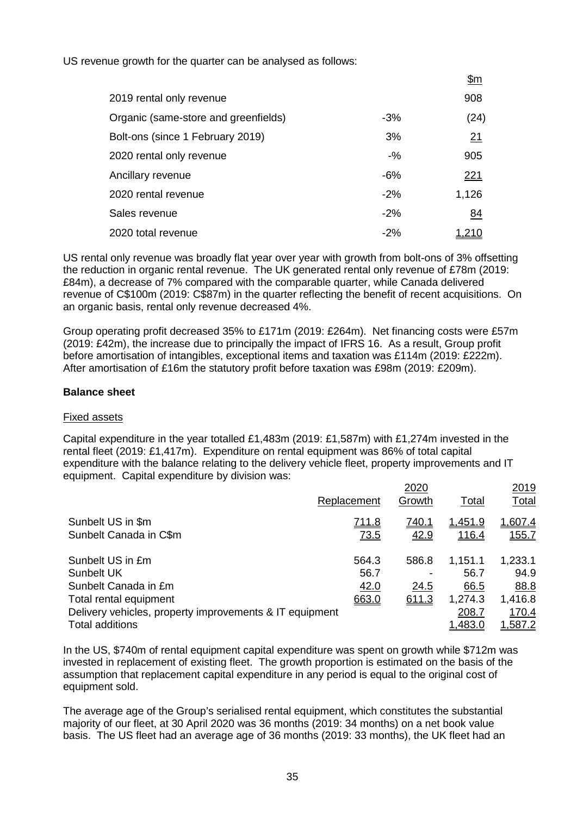US revenue growth for the quarter can be analysed as follows:

|                                      |        | <u> דווקר</u> |
|--------------------------------------|--------|---------------|
| 2019 rental only revenue             |        | 908           |
| Organic (same-store and greenfields) | $-3%$  | (24)          |
| Bolt-ons (since 1 February 2019)     | 3%     | 21            |
| 2020 rental only revenue             | $-9/6$ | 905           |
| Ancillary revenue                    | $-6%$  | <u> 221</u>   |
| 2020 rental revenue                  | $-2%$  | 1,126         |
| Sales revenue                        | $-2\%$ | <u>84</u>     |
| 2020 total revenue                   | $-2%$  | 1,210         |

 $\mathfrak{g}_{\mathfrak{m}}$ 

US rental only revenue was broadly flat year over year with growth from bolt-ons of 3% offsetting the reduction in organic rental revenue. The UK generated rental only revenue of £78m (2019: £84m), a decrease of 7% compared with the comparable quarter, while Canada delivered revenue of C\$100m (2019: C\$87m) in the quarter reflecting the benefit of recent acquisitions. On an organic basis, rental only revenue decreased 4%.

Group operating profit decreased 35% to £171m (2019: £264m). Net financing costs were £57m (2019: £42m), the increase due to principally the impact of IFRS 16. As a result, Group profit before amortisation of intangibles, exceptional items and taxation was £114m (2019: £222m). After amortisation of £16m the statutory profit before taxation was £98m (2019: £209m).

## **Balance sheet**

#### Fixed assets

Capital expenditure in the year totalled £1,483m (2019: £1,587m) with £1,274m invested in the rental fleet (2019: £1,417m). Expenditure on rental equipment was 86% of total capital expenditure with the balance relating to the delivery vehicle fleet, property improvements and IT equipment. Capital expenditure by division was:

|                                                         | Replacement  | 2020<br>Growth | Total          | <u> 2019</u><br><b>Total</b> |
|---------------------------------------------------------|--------------|----------------|----------------|------------------------------|
| Sunbelt US in \$m                                       | <u>711.8</u> | <u>740.1</u>   | <u>1,451.9</u> | <u>1,607.4</u>               |
| Sunbelt Canada in C\$m                                  | <u>73.5</u>  | 42.9           | <u>116.4</u>   | <u>155.7</u>                 |
| Sunbelt US in £m                                        | 564.3        | 586.8          | 1,151.1        | 1,233.1                      |
| <b>Sunbelt UK</b>                                       | 56.7         |                | 56.7           | 94.9                         |
| Sunbelt Canada in £m                                    | 42.0         | 24.5           | 66.5           | 88.8                         |
| Total rental equipment                                  | 663.0        | 611.3          | 1,274.3        | 1,416.8                      |
| Delivery vehicles, property improvements & IT equipment |              |                | 208.7          | 170.4                        |
| <b>Total additions</b>                                  |              |                | 1,483.0        | <u>1,587.2</u>               |
|                                                         |              |                |                |                              |

In the US, \$740m of rental equipment capital expenditure was spent on growth while \$712m was invested in replacement of existing fleet. The growth proportion is estimated on the basis of the assumption that replacement capital expenditure in any period is equal to the original cost of equipment sold.

The average age of the Group's serialised rental equipment, which constitutes the substantial majority of our fleet, at 30 April 2020 was 36 months (2019: 34 months) on a net book value basis. The US fleet had an average age of 36 months (2019: 33 months), the UK fleet had an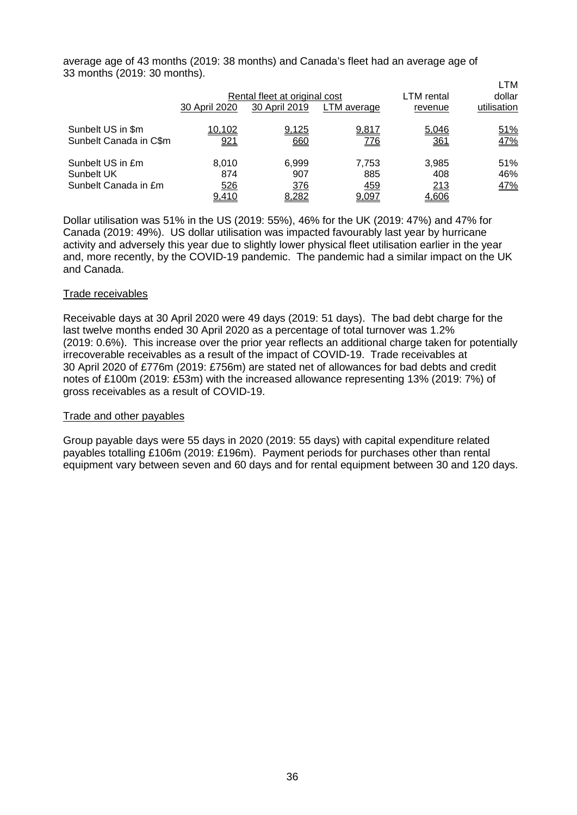average age of 43 months (2019: 38 months) and Canada's fleet had an average age of 33 months (2019: 30 months).

|                                                        | 30 April 2020                | Rental fleet at original cost<br>30 April 2019 | LTM average                  | LTM rental<br>revenue        | LTM<br>dollar<br>utilisation |
|--------------------------------------------------------|------------------------------|------------------------------------------------|------------------------------|------------------------------|------------------------------|
| Sunbelt US in \$m<br>Sunbelt Canada in C\$m            | 10,102<br>921                | 9,125<br>660                                   | 9,817<br><u>776</u>          | 5,046<br><u>361</u>          | 51%<br>47%                   |
| Sunbelt US in £m<br>Sunbelt UK<br>Sunbelt Canada in £m | 8.010<br>874<br>526<br>9,410 | 6,999<br>907<br>376<br>8,282                   | 7.753<br>885<br>459<br>9,097 | 3,985<br>408<br>213<br>4,606 | 51%<br>46%<br>47%            |

Dollar utilisation was 51% in the US (2019: 55%), 46% for the UK (2019: 47%) and 47% for Canada (2019: 49%). US dollar utilisation was impacted favourably last year by hurricane activity and adversely this year due to slightly lower physical fleet utilisation earlier in the year and, more recently, by the COVID-19 pandemic. The pandemic had a similar impact on the UK and Canada.

#### Trade receivables

Receivable days at 30 April 2020 were 49 days (2019: 51 days). The bad debt charge for the last twelve months ended 30 April 2020 as a percentage of total turnover was 1.2% (2019: 0.6%). This increase over the prior year reflects an additional charge taken for potentially irrecoverable receivables as a result of the impact of COVID-19. Trade receivables at 30 April 2020 of £776m (2019: £756m) are stated net of allowances for bad debts and credit notes of £100m (2019: £53m) with the increased allowance representing 13% (2019: 7%) of gross receivables as a result of COVID-19.

#### Trade and other payables

Group payable days were 55 days in 2020 (2019: 55 days) with capital expenditure related payables totalling £106m (2019: £196m). Payment periods for purchases other than rental equipment vary between seven and 60 days and for rental equipment between 30 and 120 days.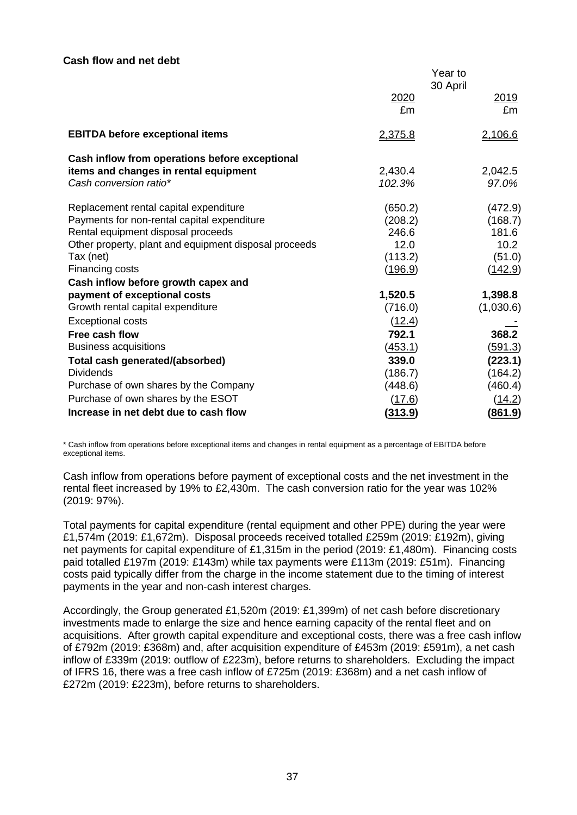#### **Cash flow and net debt**

|                                                                                             |                   | Year to                |
|---------------------------------------------------------------------------------------------|-------------------|------------------------|
|                                                                                             | 2020<br>£m        | 30 April<br>2019<br>£m |
| <b>EBITDA before exceptional items</b>                                                      | 2,375.8           | 2,106.6                |
| Cash inflow from operations before exceptional                                              |                   |                        |
| items and changes in rental equipment<br>Cash conversion ratio*                             | 2,430.4<br>102.3% | 2,042.5<br>97.0%       |
| Replacement rental capital expenditure                                                      | (650.2)           | (472.9)                |
| Payments for non-rental capital expenditure                                                 | (208.2)           | (168.7)                |
| Rental equipment disposal proceeds<br>Other property, plant and equipment disposal proceeds | 246.6<br>12.0     | 181.6<br>10.2          |
| Tax (net)                                                                                   | (113.2)           | (51.0)                 |
| Financing costs                                                                             | (196.9)           | <u>(142.9)</u>         |
| Cash inflow before growth capex and                                                         |                   |                        |
| payment of exceptional costs                                                                | 1,520.5           | 1,398.8                |
| Growth rental capital expenditure                                                           | (716.0)           | (1,030.6)              |
| <b>Exceptional costs</b>                                                                    | (12.4)            |                        |
| Free cash flow                                                                              | 792.1             | 368.2                  |
| <b>Business acquisitions</b>                                                                | <u>(453.1)</u>    | <u>(591.3)</u>         |
| Total cash generated/(absorbed)                                                             | 339.0             | (223.1)                |
| <b>Dividends</b>                                                                            | (186.7)           | (164.2)                |
| Purchase of own shares by the Company                                                       | (448.6)           | (460.4)                |
| Purchase of own shares by the ESOT                                                          | (17.6)            | (14.2)                 |
| Increase in net debt due to cash flow                                                       | <u>(313.9)</u>    | <u>(861.9)</u>         |

\* Cash inflow from operations before exceptional items and changes in rental equipment as a percentage of EBITDA before exceptional items.

Cash inflow from operations before payment of exceptional costs and the net investment in the rental fleet increased by 19% to £2,430m. The cash conversion ratio for the year was 102% (2019: 97%).

Total payments for capital expenditure (rental equipment and other PPE) during the year were £1,574m (2019: £1,672m). Disposal proceeds received totalled £259m (2019: £192m), giving net payments for capital expenditure of £1,315m in the period (2019: £1,480m). Financing costs paid totalled £197m (2019: £143m) while tax payments were £113m (2019: £51m). Financing costs paid typically differ from the charge in the income statement due to the timing of interest payments in the year and non-cash interest charges.

Accordingly, the Group generated £1,520m (2019: £1,399m) of net cash before discretionary investments made to enlarge the size and hence earning capacity of the rental fleet and on acquisitions. After growth capital expenditure and exceptional costs, there was a free cash inflow of £792m (2019: £368m) and, after acquisition expenditure of £453m (2019: £591m), a net cash inflow of £339m (2019: outflow of £223m), before returns to shareholders. Excluding the impact of IFRS 16, there was a free cash inflow of £725m (2019: £368m) and a net cash inflow of £272m (2019: £223m), before returns to shareholders.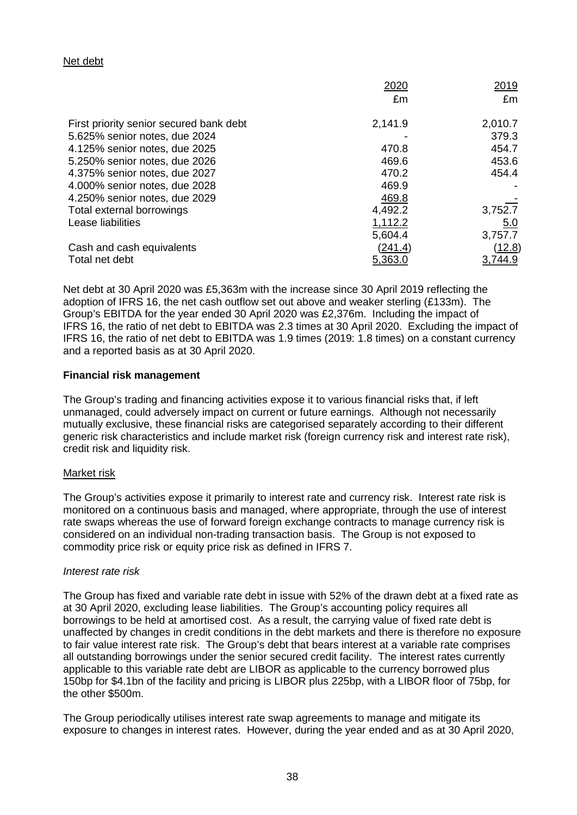## Net debt

|                                         | 2020    | 2019    |
|-----------------------------------------|---------|---------|
|                                         | £m      | £m      |
| First priority senior secured bank debt | 2,141.9 | 2,010.7 |
| 5.625% senior notes, due 2024           |         | 379.3   |
| 4.125% senior notes, due 2025           | 470.8   | 454.7   |
| 5.250% senior notes, due 2026           | 469.6   | 453.6   |
| 4.375% senior notes, due 2027           | 470.2   | 454.4   |
| 4.000% senior notes, due 2028           | 469.9   |         |
| 4.250% senior notes, due 2029           | 469.8   |         |
| Total external borrowings               | 4,492.2 | 3,752.7 |
| Lease liabilities                       | 1,112.2 | 5.0     |
|                                         | 5,604.4 | 3,757.7 |
| Cash and cash equivalents               | (241.4) | (12.8)  |
| Total net debt                          | 5,363.0 | 3,744.9 |

Net debt at 30 April 2020 was £5,363m with the increase since 30 April 2019 reflecting the adoption of IFRS 16, the net cash outflow set out above and weaker sterling (£133m). The Group's EBITDA for the year ended 30 April 2020 was £2,376m. Including the impact of IFRS 16, the ratio of net debt to EBITDA was 2.3 times at 30 April 2020. Excluding the impact of IFRS 16, the ratio of net debt to EBITDA was 1.9 times (2019: 1.8 times) on a constant currency and a reported basis as at 30 April 2020.

#### **Financial risk management**

The Group's trading and financing activities expose it to various financial risks that, if left unmanaged, could adversely impact on current or future earnings. Although not necessarily mutually exclusive, these financial risks are categorised separately according to their different generic risk characteristics and include market risk (foreign currency risk and interest rate risk), credit risk and liquidity risk.

#### Market risk

The Group's activities expose it primarily to interest rate and currency risk. Interest rate risk is monitored on a continuous basis and managed, where appropriate, through the use of interest rate swaps whereas the use of forward foreign exchange contracts to manage currency risk is considered on an individual non-trading transaction basis. The Group is not exposed to commodity price risk or equity price risk as defined in IFRS 7.

## *Interest rate risk*

The Group has fixed and variable rate debt in issue with 52% of the drawn debt at a fixed rate as at 30 April 2020, excluding lease liabilities. The Group's accounting policy requires all borrowings to be held at amortised cost. As a result, the carrying value of fixed rate debt is unaffected by changes in credit conditions in the debt markets and there is therefore no exposure to fair value interest rate risk. The Group's debt that bears interest at a variable rate comprises all outstanding borrowings under the senior secured credit facility. The interest rates currently applicable to this variable rate debt are LIBOR as applicable to the currency borrowed plus 150bp for \$4.1bn of the facility and pricing is LIBOR plus 225bp, with a LIBOR floor of 75bp, for the other \$500m.

The Group periodically utilises interest rate swap agreements to manage and mitigate its exposure to changes in interest rates. However, during the year ended and as at 30 April 2020,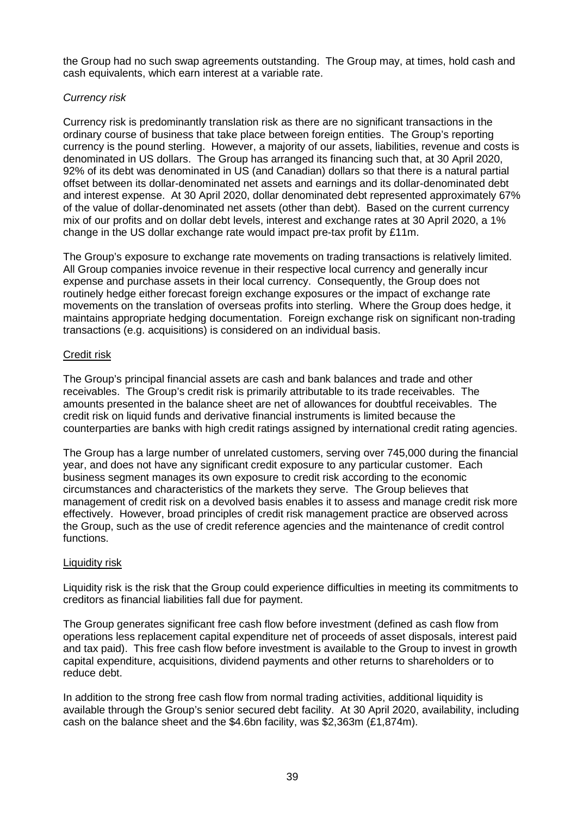the Group had no such swap agreements outstanding. The Group may, at times, hold cash and cash equivalents, which earn interest at a variable rate.

## *Currency risk*

Currency risk is predominantly translation risk as there are no significant transactions in the ordinary course of business that take place between foreign entities. The Group's reporting currency is the pound sterling. However, a majority of our assets, liabilities, revenue and costs is denominated in US dollars. The Group has arranged its financing such that, at 30 April 2020, 92% of its debt was denominated in US (and Canadian) dollars so that there is a natural partial offset between its dollar-denominated net assets and earnings and its dollar-denominated debt and interest expense. At 30 April 2020, dollar denominated debt represented approximately 67% of the value of dollar-denominated net assets (other than debt). Based on the current currency mix of our profits and on dollar debt levels, interest and exchange rates at 30 April 2020, a 1% change in the US dollar exchange rate would impact pre-tax profit by £11m.

The Group's exposure to exchange rate movements on trading transactions is relatively limited. All Group companies invoice revenue in their respective local currency and generally incur expense and purchase assets in their local currency. Consequently, the Group does not routinely hedge either forecast foreign exchange exposures or the impact of exchange rate movements on the translation of overseas profits into sterling. Where the Group does hedge, it maintains appropriate hedging documentation. Foreign exchange risk on significant non-trading transactions (e.g. acquisitions) is considered on an individual basis.

## Credit risk

The Group's principal financial assets are cash and bank balances and trade and other receivables. The Group's credit risk is primarily attributable to its trade receivables. The amounts presented in the balance sheet are net of allowances for doubtful receivables. The credit risk on liquid funds and derivative financial instruments is limited because the counterparties are banks with high credit ratings assigned by international credit rating agencies.

The Group has a large number of unrelated customers, serving over 745,000 during the financial year, and does not have any significant credit exposure to any particular customer. Each business segment manages its own exposure to credit risk according to the economic circumstances and characteristics of the markets they serve. The Group believes that management of credit risk on a devolved basis enables it to assess and manage credit risk more effectively. However, broad principles of credit risk management practice are observed across the Group, such as the use of credit reference agencies and the maintenance of credit control functions.

## Liquidity risk

Liquidity risk is the risk that the Group could experience difficulties in meeting its commitments to creditors as financial liabilities fall due for payment.

The Group generates significant free cash flow before investment (defined as cash flow from operations less replacement capital expenditure net of proceeds of asset disposals, interest paid and tax paid). This free cash flow before investment is available to the Group to invest in growth capital expenditure, acquisitions, dividend payments and other returns to shareholders or to reduce debt.

In addition to the strong free cash flow from normal trading activities, additional liquidity is available through the Group's senior secured debt facility. At 30 April 2020, availability, including cash on the balance sheet and the \$4.6bn facility, was \$2,363m (£1,874m).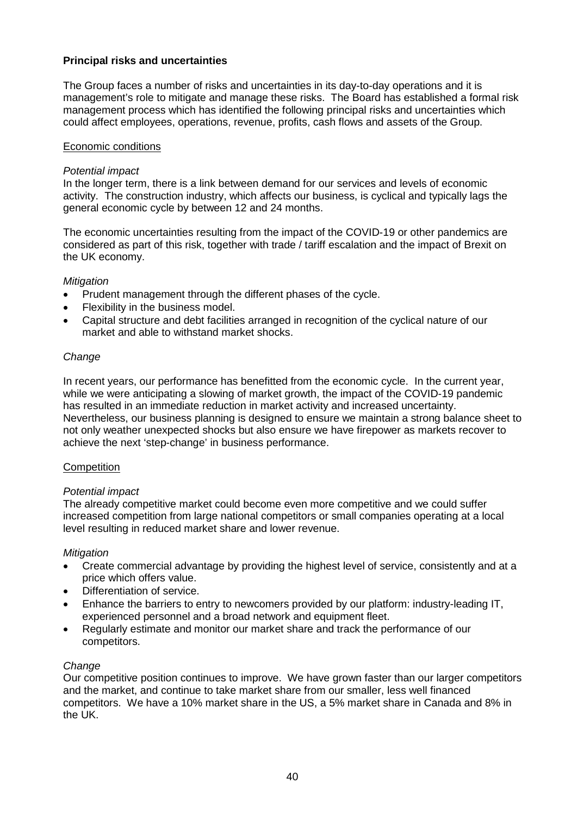## **Principal risks and uncertainties**

The Group faces a number of risks and uncertainties in its day-to-day operations and it is management's role to mitigate and manage these risks. The Board has established a formal risk management process which has identified the following principal risks and uncertainties which could affect employees, operations, revenue, profits, cash flows and assets of the Group.

#### Economic conditions

### *Potential impact*

In the longer term, there is a link between demand for our services and levels of economic activity. The construction industry, which affects our business, is cyclical and typically lags the general economic cycle by between 12 and 24 months.

The economic uncertainties resulting from the impact of the COVID-19 or other pandemics are considered as part of this risk, together with trade / tariff escalation and the impact of Brexit on the UK economy.

#### *Mitigation*

- Prudent management through the different phases of the cycle.
- Flexibility in the business model.
- Capital structure and debt facilities arranged in recognition of the cyclical nature of our market and able to withstand market shocks.

#### *Change*

In recent years, our performance has benefitted from the economic cycle. In the current year, while we were anticipating a slowing of market growth, the impact of the COVID-19 pandemic has resulted in an immediate reduction in market activity and increased uncertainty. Nevertheless, our business planning is designed to ensure we maintain a strong balance sheet to not only weather unexpected shocks but also ensure we have firepower as markets recover to achieve the next 'step-change' in business performance.

## **Competition**

#### *Potential impact*

The already competitive market could become even more competitive and we could suffer increased competition from large national competitors or small companies operating at a local level resulting in reduced market share and lower revenue.

#### *Mitigation*

- Create commercial advantage by providing the highest level of service, consistently and at a price which offers value.
- Differentiation of service.
- Enhance the barriers to entry to newcomers provided by our platform: industry-leading IT, experienced personnel and a broad network and equipment fleet.
- Regularly estimate and monitor our market share and track the performance of our competitors.

#### *Change*

Our competitive position continues to improve. We have grown faster than our larger competitors and the market, and continue to take market share from our smaller, less well financed competitors. We have a 10% market share in the US, a 5% market share in Canada and 8% in the UK.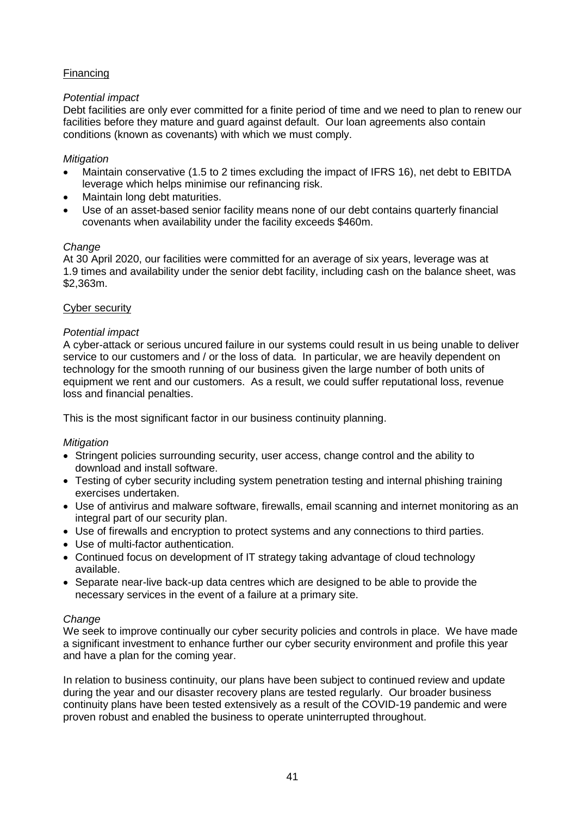# Financing

## *Potential impact*

Debt facilities are only ever committed for a finite period of time and we need to plan to renew our facilities before they mature and guard against default. Our loan agreements also contain conditions (known as covenants) with which we must comply.

### *Mitigation*

- Maintain conservative (1.5 to 2 times excluding the impact of IFRS 16), net debt to EBITDA leverage which helps minimise our refinancing risk.
- Maintain long debt maturities.
- Use of an asset-based senior facility means none of our debt contains quarterly financial covenants when availability under the facility exceeds \$460m.

#### *Change*

At 30 April 2020, our facilities were committed for an average of six years, leverage was at 1.9 times and availability under the senior debt facility, including cash on the balance sheet, was \$2,363m.

#### Cyber security

#### *Potential impact*

A cyber-attack or serious uncured failure in our systems could result in us being unable to deliver service to our customers and / or the loss of data. In particular, we are heavily dependent on technology for the smooth running of our business given the large number of both units of equipment we rent and our customers. As a result, we could suffer reputational loss, revenue loss and financial penalties.

This is the most significant factor in our business continuity planning.

## *Mitigation*

- Stringent policies surrounding security, user access, change control and the ability to download and install software.
- Testing of cyber security including system penetration testing and internal phishing training exercises undertaken.
- Use of antivirus and malware software, firewalls, email scanning and internet monitoring as an integral part of our security plan.
- Use of firewalls and encryption to protect systems and any connections to third parties.
- Use of multi-factor authentication.
- Continued focus on development of IT strategy taking advantage of cloud technology available.
- Separate near-live back-up data centres which are designed to be able to provide the necessary services in the event of a failure at a primary site.

## *Change*

We seek to improve continually our cyber security policies and controls in place. We have made a significant investment to enhance further our cyber security environment and profile this year and have a plan for the coming year.

In relation to business continuity, our plans have been subject to continued review and update during the year and our disaster recovery plans are tested regularly. Our broader business continuity plans have been tested extensively as a result of the COVID-19 pandemic and were proven robust and enabled the business to operate uninterrupted throughout.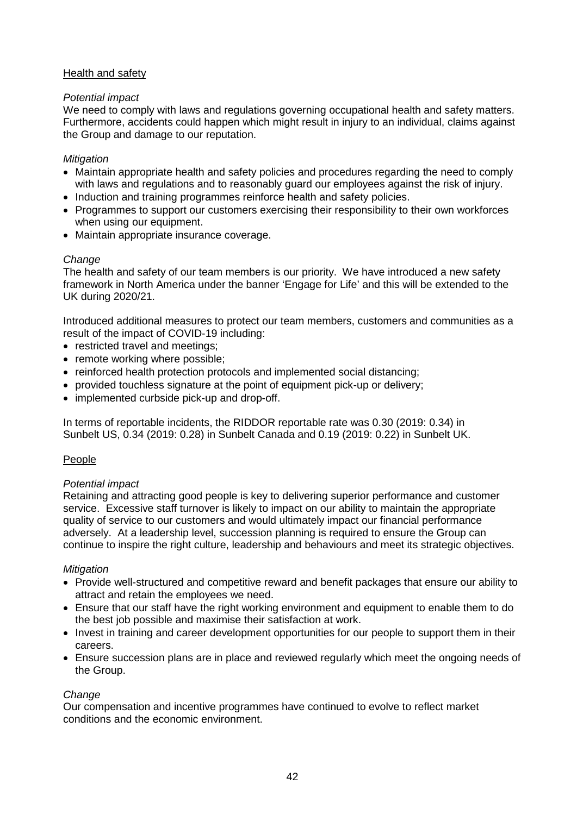## Health and safety

## *Potential impact*

We need to comply with laws and regulations governing occupational health and safety matters. Furthermore, accidents could happen which might result in injury to an individual, claims against the Group and damage to our reputation.

## *Mitigation*

- Maintain appropriate health and safety policies and procedures regarding the need to comply with laws and regulations and to reasonably guard our employees against the risk of injury.
- Induction and training programmes reinforce health and safety policies.
- Programmes to support our customers exercising their responsibility to their own workforces when using our equipment.
- Maintain appropriate insurance coverage.

## *Change*

The health and safety of our team members is our priority. We have introduced a new safety framework in North America under the banner 'Engage for Life' and this will be extended to the UK during 2020/21.

Introduced additional measures to protect our team members, customers and communities as a result of the impact of COVID-19 including:

- restricted travel and meetings;
- remote working where possible;
- reinforced health protection protocols and implemented social distancing;
- provided touchless signature at the point of equipment pick-up or delivery;
- implemented curbside pick-up and drop-off.

In terms of reportable incidents, the RIDDOR reportable rate was 0.30 (2019: 0.34) in Sunbelt US, 0.34 (2019: 0.28) in Sunbelt Canada and 0.19 (2019: 0.22) in Sunbelt UK.

## People

## *Potential impact*

Retaining and attracting good people is key to delivering superior performance and customer service. Excessive staff turnover is likely to impact on our ability to maintain the appropriate quality of service to our customers and would ultimately impact our financial performance adversely. At a leadership level, succession planning is required to ensure the Group can continue to inspire the right culture, leadership and behaviours and meet its strategic objectives.

## *Mitigation*

- Provide well-structured and competitive reward and benefit packages that ensure our ability to attract and retain the employees we need.
- Ensure that our staff have the right working environment and equipment to enable them to do the best job possible and maximise their satisfaction at work.
- Invest in training and career development opportunities for our people to support them in their careers.
- Ensure succession plans are in place and reviewed regularly which meet the ongoing needs of the Group.

# *Change*

Our compensation and incentive programmes have continued to evolve to reflect market conditions and the economic environment.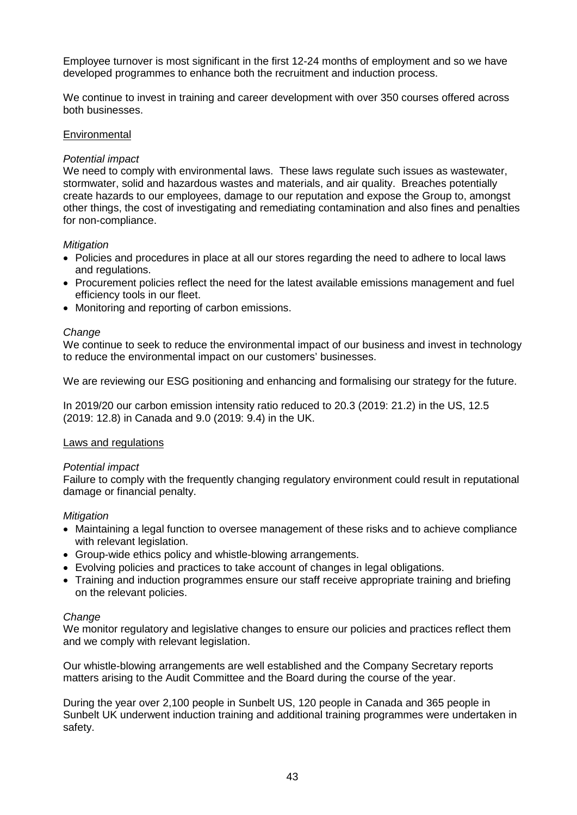Employee turnover is most significant in the first 12-24 months of employment and so we have developed programmes to enhance both the recruitment and induction process.

We continue to invest in training and career development with over 350 courses offered across both businesses.

### **Environmental**

#### *Potential impact*

We need to comply with environmental laws. These laws regulate such issues as wastewater, stormwater, solid and hazardous wastes and materials, and air quality. Breaches potentially create hazards to our employees, damage to our reputation and expose the Group to, amongst other things, the cost of investigating and remediating contamination and also fines and penalties for non-compliance.

#### *Mitigation*

- Policies and procedures in place at all our stores regarding the need to adhere to local laws and regulations.
- Procurement policies reflect the need for the latest available emissions management and fuel efficiency tools in our fleet.
- Monitoring and reporting of carbon emissions.

#### *Change*

We continue to seek to reduce the environmental impact of our business and invest in technology to reduce the environmental impact on our customers' businesses.

We are reviewing our ESG positioning and enhancing and formalising our strategy for the future.

In 2019/20 our carbon emission intensity ratio reduced to 20.3 (2019: 21.2) in the US, 12.5 (2019: 12.8) in Canada and 9.0 (2019: 9.4) in the UK.

#### Laws and regulations

#### *Potential impact*

Failure to comply with the frequently changing regulatory environment could result in reputational damage or financial penalty.

#### *Mitigation*

- Maintaining a legal function to oversee management of these risks and to achieve compliance with relevant legislation.
- Group-wide ethics policy and whistle-blowing arrangements.
- Evolving policies and practices to take account of changes in legal obligations.
- Training and induction programmes ensure our staff receive appropriate training and briefing on the relevant policies.

#### *Change*

We monitor regulatory and legislative changes to ensure our policies and practices reflect them and we comply with relevant legislation.

Our whistle-blowing arrangements are well established and the Company Secretary reports matters arising to the Audit Committee and the Board during the course of the year.

During the year over 2,100 people in Sunbelt US, 120 people in Canada and 365 people in Sunbelt UK underwent induction training and additional training programmes were undertaken in safety.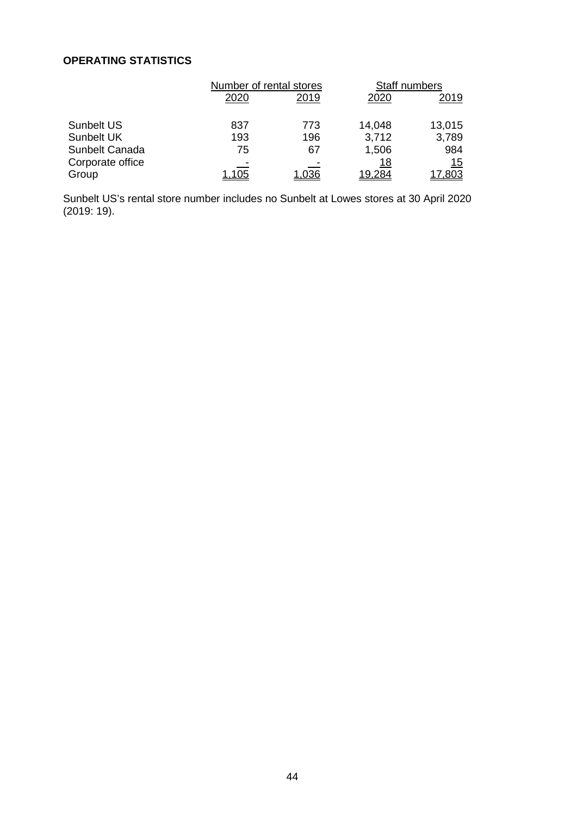# **OPERATING STATISTICS**

|                  | Number of rental stores |      | Staff numbers |        |
|------------------|-------------------------|------|---------------|--------|
|                  | 2020                    | 2019 | 2020          | 2019   |
| Sunbelt US       | 837                     | 773  | 14,048        | 13,015 |
| Sunbelt UK       | 193                     | 196  | 3,712         | 3,789  |
| Sunbelt Canada   | 75                      | 67   | 1,506         | 984    |
| Corporate office |                         |      | 18            | 15     |
| Group            | <u> 105</u>             | .036 | 19.284        | 803.'  |

Sunbelt US's rental store number includes no Sunbelt at Lowes stores at 30 April 2020 (2019: 19).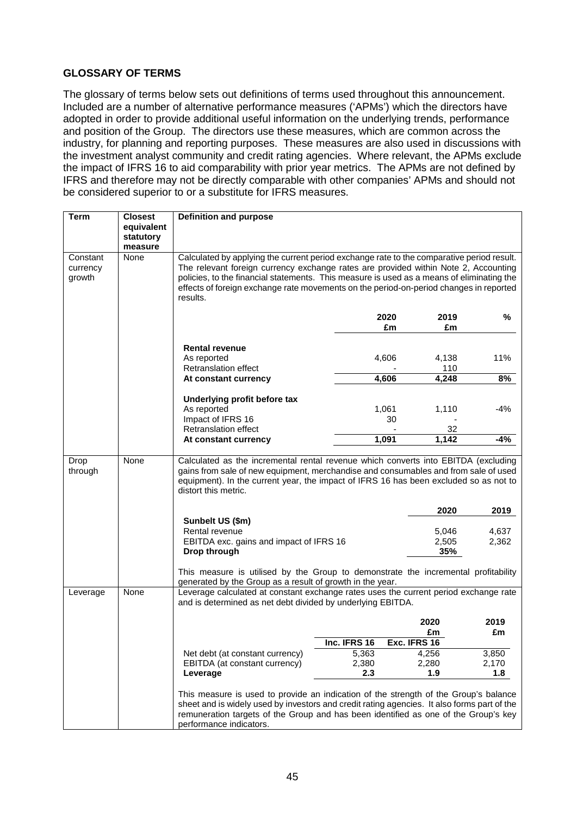# **GLOSSARY OF TERMS**

The glossary of terms below sets out definitions of terms used throughout this announcement. Included are a number of alternative performance measures ('APMs') which the directors have adopted in order to provide additional useful information on the underlying trends, performance and position of the Group. The directors use these measures, which are common across the industry, for planning and reporting purposes. These measures are also used in discussions with the investment analyst community and credit rating agencies. Where relevant, the APMs exclude the impact of IFRS 16 to aid comparability with prior year metrics. The APMs are not defined by IFRS and therefore may not be directly comparable with other companies' APMs and should not be considered superior to or a substitute for IFRS measures.

| <b>Term</b>                    | <b>Closest</b>  | <b>Definition and purpose</b>                                                                                                                                                                                                                                                                                                                                                       |                |                       |                |  |
|--------------------------------|-----------------|-------------------------------------------------------------------------------------------------------------------------------------------------------------------------------------------------------------------------------------------------------------------------------------------------------------------------------------------------------------------------------------|----------------|-----------------------|----------------|--|
|                                | equivalent      |                                                                                                                                                                                                                                                                                                                                                                                     |                |                       |                |  |
|                                | statutory       |                                                                                                                                                                                                                                                                                                                                                                                     |                |                       |                |  |
| Constant<br>currency<br>growth | measure<br>None | Calculated by applying the current period exchange rate to the comparative period result.<br>The relevant foreign currency exchange rates are provided within Note 2, Accounting<br>policies, to the financial statements. This measure is used as a means of eliminating the<br>effects of foreign exchange rate movements on the period-on-period changes in reported<br>results. |                |                       |                |  |
|                                |                 |                                                                                                                                                                                                                                                                                                                                                                                     | 2020<br>£m     | 2019<br>£m            | ℅              |  |
|                                |                 | <b>Rental revenue</b><br>As reported<br>Retranslation effect<br>At constant currency                                                                                                                                                                                                                                                                                                | 4,606<br>4,606 | 4,138<br>110<br>4,248 | 11%<br>8%      |  |
|                                |                 |                                                                                                                                                                                                                                                                                                                                                                                     |                |                       |                |  |
|                                |                 | Underlying profit before tax<br>As reported<br>Impact of IFRS 16                                                                                                                                                                                                                                                                                                                    | 1,061<br>30    | 1,110                 | $-4%$          |  |
|                                |                 | <b>Retranslation effect</b>                                                                                                                                                                                                                                                                                                                                                         |                | 32                    |                |  |
|                                |                 | At constant currency                                                                                                                                                                                                                                                                                                                                                                | 1,091          | 1,142                 | -4%            |  |
| Drop<br>through                | None            | Calculated as the incremental rental revenue which converts into EBITDA (excluding<br>gains from sale of new equipment, merchandise and consumables and from sale of used<br>equipment). In the current year, the impact of IFRS 16 has been excluded so as not to<br>distort this metric.                                                                                          |                |                       |                |  |
|                                |                 |                                                                                                                                                                                                                                                                                                                                                                                     |                | 2020                  | 2019           |  |
|                                |                 | Sunbelt US (\$m)<br>Rental revenue<br>EBITDA exc. gains and impact of IFRS 16<br>Drop through                                                                                                                                                                                                                                                                                       |                | 5,046<br>2,505<br>35% | 4,637<br>2,362 |  |
|                                |                 | This measure is utilised by the Group to demonstrate the incremental profitability<br>generated by the Group as a result of growth in the year.                                                                                                                                                                                                                                     |                |                       |                |  |
| Leverage                       | None            | Leverage calculated at constant exchange rates uses the current period exchange rate<br>and is determined as net debt divided by underlying EBITDA.                                                                                                                                                                                                                                 |                |                       |                |  |
|                                |                 |                                                                                                                                                                                                                                                                                                                                                                                     |                | 2020<br>£m            | 2019<br>£m     |  |
|                                |                 |                                                                                                                                                                                                                                                                                                                                                                                     | Inc. IFRS 16   | Exc. IFRS 16          |                |  |
|                                |                 | Net debt (at constant currency)                                                                                                                                                                                                                                                                                                                                                     | 5,363          | 4,256                 | 3,850          |  |
|                                |                 | EBITDA (at constant currency)                                                                                                                                                                                                                                                                                                                                                       | 2,380          | 2,280                 | 2,170          |  |
|                                |                 | Leverage                                                                                                                                                                                                                                                                                                                                                                            | 2.3            | 1.9                   | 1.8            |  |
|                                |                 | This measure is used to provide an indication of the strength of the Group's balance<br>sheet and is widely used by investors and credit rating agencies. It also forms part of the<br>remuneration targets of the Group and has been identified as one of the Group's key<br>performance indicators.                                                                               |                |                       |                |  |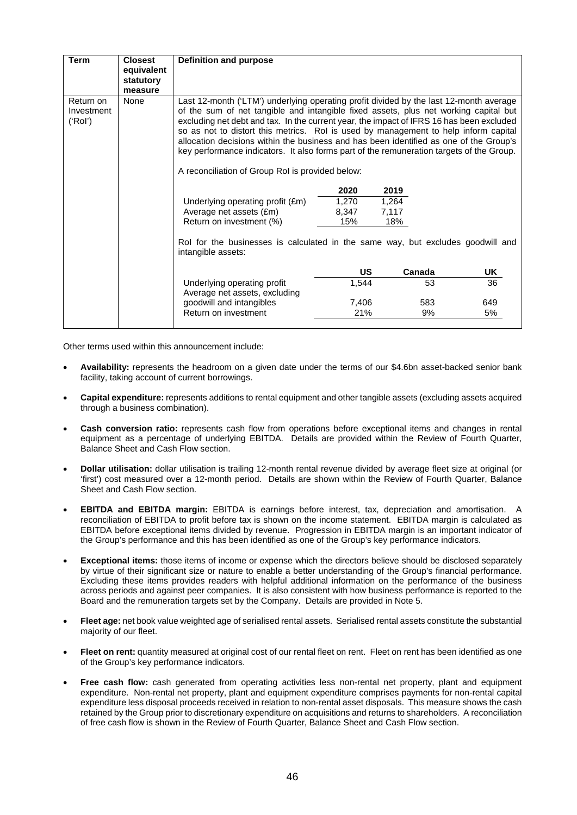| <b>Term</b>                        | <b>Closest</b><br>equivalent<br>statutory<br>measure | Definition and purpose                                                                                                                                                                                                                                                                                                                                                                                                                                                                                                                                                                                      |       |        |     |  |  |
|------------------------------------|------------------------------------------------------|-------------------------------------------------------------------------------------------------------------------------------------------------------------------------------------------------------------------------------------------------------------------------------------------------------------------------------------------------------------------------------------------------------------------------------------------------------------------------------------------------------------------------------------------------------------------------------------------------------------|-------|--------|-----|--|--|
| Return on<br>Investment<br>('Rol') | None                                                 | Last 12-month ('LTM') underlying operating profit divided by the last 12-month average<br>of the sum of net tangible and intangible fixed assets, plus net working capital but<br>excluding net debt and tax. In the current year, the impact of IFRS 16 has been excluded<br>so as not to distort this metrics. Rol is used by management to help inform capital<br>allocation decisions within the business and has been identified as one of the Group's<br>key performance indicators. It also forms part of the remuneration targets of the Group.<br>A reconciliation of Group RoI is provided below: |       |        |     |  |  |
|                                    |                                                      |                                                                                                                                                                                                                                                                                                                                                                                                                                                                                                                                                                                                             | 2020  | 2019   |     |  |  |
|                                    |                                                      | Underlying operating profit (£m)                                                                                                                                                                                                                                                                                                                                                                                                                                                                                                                                                                            | 1,270 | 1,264  |     |  |  |
|                                    |                                                      | Average net assets (£m)                                                                                                                                                                                                                                                                                                                                                                                                                                                                                                                                                                                     | 8,347 | 7,117  |     |  |  |
|                                    |                                                      | Return on investment (%)                                                                                                                                                                                                                                                                                                                                                                                                                                                                                                                                                                                    | 15%   | 18%    |     |  |  |
|                                    |                                                      | Rol for the businesses is calculated in the same way, but excludes goodwill and<br>intangible assets:                                                                                                                                                                                                                                                                                                                                                                                                                                                                                                       |       |        |     |  |  |
|                                    |                                                      |                                                                                                                                                                                                                                                                                                                                                                                                                                                                                                                                                                                                             | US    | Canada | UK  |  |  |
|                                    |                                                      | Underlying operating profit<br>Average net assets, excluding                                                                                                                                                                                                                                                                                                                                                                                                                                                                                                                                                | 1,544 | 53     | 36  |  |  |
|                                    |                                                      | goodwill and intangibles                                                                                                                                                                                                                                                                                                                                                                                                                                                                                                                                                                                    | 7,406 | 583    | 649 |  |  |
|                                    |                                                      | Return on investment                                                                                                                                                                                                                                                                                                                                                                                                                                                                                                                                                                                        | 21%   | 9%     | 5%  |  |  |
|                                    |                                                      |                                                                                                                                                                                                                                                                                                                                                                                                                                                                                                                                                                                                             |       |        |     |  |  |

Other terms used within this announcement include:

- **Availability:** represents the headroom on a given date under the terms of our \$4.6bn asset-backed senior bank facility, taking account of current borrowings.
- **Capital expenditure:** represents additions to rental equipment and other tangible assets (excluding assets acquired through a business combination).
- **Cash conversion ratio:** represents cash flow from operations before exceptional items and changes in rental equipment as a percentage of underlying EBITDA. Details are provided within the Review of Fourth Quarter, Balance Sheet and Cash Flow section.
- **Dollar utilisation:** dollar utilisation is trailing 12-month rental revenue divided by average fleet size at original (or 'first') cost measured over a 12-month period. Details are shown within the Review of Fourth Quarter, Balance Sheet and Cash Flow section.
- **EBITDA and EBITDA margin:** EBITDA is earnings before interest, tax, depreciation and amortisation. A reconciliation of EBITDA to profit before tax is shown on the income statement. EBITDA margin is calculated as EBITDA before exceptional items divided by revenue. Progression in EBITDA margin is an important indicator of the Group's performance and this has been identified as one of the Group's key performance indicators.
- **Exceptional items:** those items of income or expense which the directors believe should be disclosed separately by virtue of their significant size or nature to enable a better understanding of the Group's financial performance. Excluding these items provides readers with helpful additional information on the performance of the business across periods and against peer companies. It is also consistent with how business performance is reported to the Board and the remuneration targets set by the Company. Details are provided in Note 5.
- **Fleet age:** net book value weighted age of serialised rental assets. Serialised rental assets constitute the substantial majority of our fleet.
- **Fleet on rent:** quantity measured at original cost of our rental fleet on rent. Fleet on rent has been identified as one of the Group's key performance indicators.
- **Free cash flow:** cash generated from operating activities less non-rental net property, plant and equipment expenditure. Non-rental net property, plant and equipment expenditure comprises payments for non-rental capital expenditure less disposal proceeds received in relation to non-rental asset disposals. This measure shows the cash retained by the Group prior to discretionary expenditure on acquisitions and returns to shareholders. A reconciliation of free cash flow is shown in the Review of Fourth Quarter, Balance Sheet and Cash Flow section.